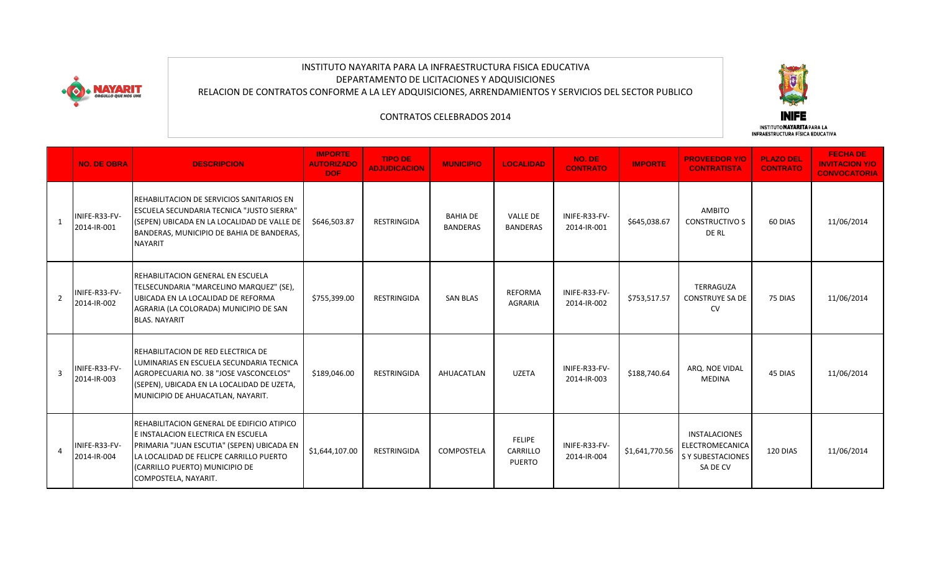

## INSTITUTO NAYARITA PARA LA INFRAESTRUCTURA FISICA EDUCATIVA DEPARTAMENTO DE LICITACIONES Y ADQUISICIONES RELACION DE CONTRATOS CONFORME A LA LEY ADQUISICIONES, ARRENDAMIENTOS Y SERVICIOS DEL SECTOR PUBLICO



## CONTRATOS CELEBRADOS 2014

|   | <b>NO. DE OBRA</b>           | <b>DESCRIPCION</b>                                                                                                                                                                                                                  | <b>IMPORTE</b><br><b>AUTORIZADO</b><br>DOF: | <b>TIPO DE</b><br><b>ADJUDICACION</b> | <b>MUNICIPIO</b>                   | <b>LOCALIDAD</b>                    | NO. DE<br><b>CONTRATO</b>    | <b>IMPORTE</b> | <b>PROVEEDOR Y/O</b><br><b>CONTRATISTA</b>                              | <b>PLAZO DEL</b><br><b>CONTRATO</b> | <b>FECHA DE</b><br><b>INVITACION Y/O</b><br><b>CONVOCATORIA</b> |
|---|------------------------------|-------------------------------------------------------------------------------------------------------------------------------------------------------------------------------------------------------------------------------------|---------------------------------------------|---------------------------------------|------------------------------------|-------------------------------------|------------------------------|----------------|-------------------------------------------------------------------------|-------------------------------------|-----------------------------------------------------------------|
|   | INIFE-R33-FV-<br>2014-IR-001 | REHABILITACION DE SERVICIOS SANITARIOS EN<br><b>ESCUELA SECUNDARIA TECNICA "JUSTO SIERRA"</b><br>(SEPEN) UBICADA EN LA LOCALIDAD DE VALLE DE<br>BANDERAS, MUNICIPIO DE BAHIA DE BANDERAS,<br><b>NAYARIT</b>                         | \$646,503.87                                | <b>RESTRINGIDA</b>                    | <b>BAHIA DE</b><br><b>BANDERAS</b> | <b>VALLE DE</b><br><b>BANDERAS</b>  | INIFE-R33-FV-<br>2014-IR-001 | \$645,038.67   | AMBITO<br><b>CONSTRUCTIVO S</b><br>DE RL                                | 60 DIAS                             | 11/06/2014                                                      |
| 2 | INIFE-R33-FV-<br>2014-IR-002 | REHABILITACION GENERAL EN ESCUELA<br>TELSECUNDARIA "MARCELINO MARQUEZ" (SE),<br>UBICADA EN LA LOCALIDAD DE REFORMA<br>AGRARIA (LA COLORADA) MUNICIPIO DE SAN<br><b>BLAS, NAYARIT</b>                                                | \$755,399.00                                | <b>RESTRINGIDA</b>                    | <b>SAN BLAS</b>                    | <b>REFORMA</b><br><b>AGRARIA</b>    | INIFE-R33-FV-<br>2014-IR-002 | \$753,517.57   | TERRAGUZA<br><b>CONSTRUYE SA DE</b><br><b>CV</b>                        | 75 DIAS                             | 11/06/2014                                                      |
| 3 | INIFE-R33-FV-<br>2014-IR-003 | REHABILITACION DE RED ELECTRICA DE<br>LUMINARIAS EN ESCUELA SECUNDARIA TECNICA<br>AGROPECUARIA NO. 38 "JOSE VASCONCELOS"<br>(SEPEN), UBICADA EN LA LOCALIDAD DE UZETA,<br>MUNICIPIO DE AHUACATLAN, NAYARIT.                         | \$189,046.00                                | <b>RESTRINGIDA</b>                    | AHUACATLAN                         | <b>UZETA</b>                        | INIFE-R33-FV-<br>2014-IR-003 | \$188,740.64   | ARQ. NOE VIDAL<br><b>MEDINA</b>                                         | 45 DIAS                             | 11/06/2014                                                      |
|   | INIFE-R33-FV-<br>2014-IR-004 | REHABILITACION GENERAL DE EDIFICIO ATIPICO<br>E INSTALACION ELECTRICA EN ESCUELA<br>PRIMARIA "JUAN ESCUTIA" (SEPEN) UBICADA EN<br>LA LOCALIDAD DE FELICPE CARRILLO PUERTO<br>(CARRILLO PUERTO) MUNICIPIO DE<br>COMPOSTELA, NAYARIT. | \$1,644,107.00                              | <b>RESTRINGIDA</b>                    | COMPOSTELA                         | FELIPE<br>CARRILLO<br><b>PUERTO</b> | INIFE-R33-FV-<br>2014-IR-004 | \$1,641,770.56 | INSTALACIONES<br>ELECTROMECANICA<br><b>SY SUBESTACIONES</b><br>SA DE CV | 120 DIAS                            | 11/06/2014                                                      |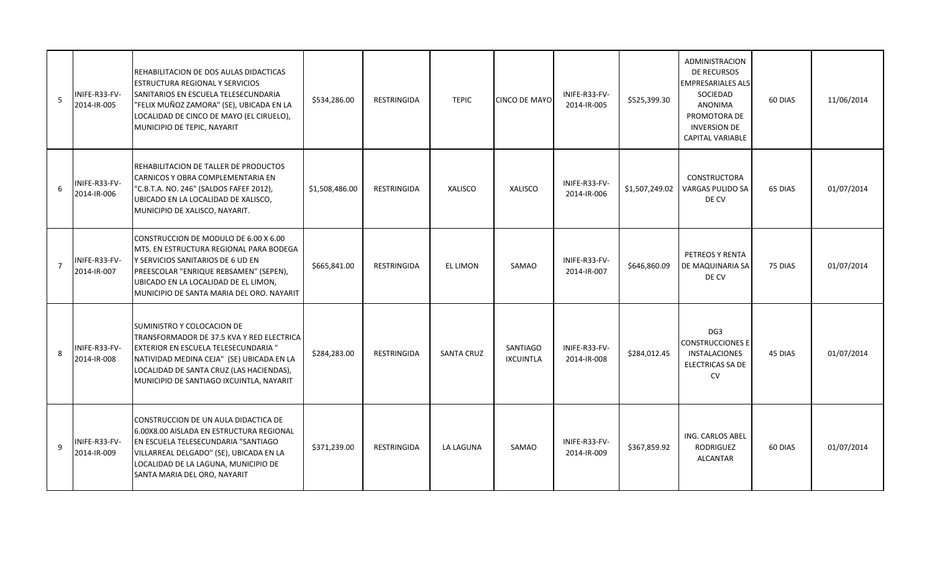| 5              | INIFE-R33-FV-<br>2014-IR-005 | REHABILITACION DE DOS AULAS DIDACTICAS<br><b>ESTRUCTURA REGIONAL Y SERVICIOS</b><br>SANITARIOS EN ESCUELA TELESECUNDARIA<br>"FELIX MUÑOZ ZAMORA" (SE), UBICADA EN LA<br>LOCALIDAD DE CINCO DE MAYO (EL CIRUELO),<br>MUNICIPIO DE TEPIC, NAYARIT              | \$534,286.00   | RESTRINGIDA        | <b>TEPIC</b>      | <b>CINCO DE MAYO</b>         | INIFE-R33-FV-<br>2014-IR-005 | \$525,399.30   | <b>ADMINISTRACION</b><br>DE RECURSOS<br><b>EMPRESARIALES ALS</b><br>SOCIEDAD<br><b>ANONIMA</b><br>PROMOTORA DE<br><b>INVERSION DE</b><br>CAPITAL VARIABLE | 60 DIAS | 11/06/2014 |
|----------------|------------------------------|--------------------------------------------------------------------------------------------------------------------------------------------------------------------------------------------------------------------------------------------------------------|----------------|--------------------|-------------------|------------------------------|------------------------------|----------------|-----------------------------------------------------------------------------------------------------------------------------------------------------------|---------|------------|
| 6              | INIFE-R33-FV-<br>2014-IR-006 | REHABILITACION DE TALLER DE PRODUCTOS<br>CARNICOS Y OBRA COMPLEMENTARIA EN<br>"C.B.T.A. NO. 246" (SALDOS FAFEF 2012),<br>UBICADO EN LA LOCALIDAD DE XALISCO,<br>MUNICIPIO DE XALISCO, NAYARIT.                                                               | \$1,508,486.00 | <b>RESTRINGIDA</b> | <b>XALISCO</b>    | <b>XALISCO</b>               | INIFE-R33-FV-<br>2014-IR-006 | \$1,507,249.02 | <b>CONSTRUCTORA</b><br><b>VARGAS PULIDO SA</b><br>DE CV                                                                                                   | 65 DIAS | 01/07/2014 |
| $\overline{7}$ | INIFE-R33-FV-<br>2014-IR-007 | CONSTRUCCION DE MODULO DE 6.00 X 6.00<br>MTS. EN ESTRUCTURA REGIONAL PARA BODEGA<br>Y SERVICIOS SANITARIOS DE 6 UD EN<br>PREESCOLAR "ENRIQUE REBSAMEN" (SEPEN),<br>UBICADO EN LA LOCALIDAD DE EL LIMON,<br>MUNICIPIO DE SANTA MARIA DEL ORO. NAYARIT         | \$665,841.00   | <b>RESTRINGIDA</b> | <b>EL LIMON</b>   | SAMAO                        | INIFE-R33-FV-<br>2014-IR-007 | \$646,860.09   | PETREOS Y RENTA<br>DE MAQUINARIA SA<br>DE CV                                                                                                              | 75 DIAS | 01/07/2014 |
| 8              | INIFE-R33-FV-<br>2014-IR-008 | ISUMINISTRO Y COLOCACION DE<br>TRANSFORMADOR DE 37.5 KVA Y RED ELECTRICA<br><b>EXTERIOR EN ESCUELA TELESECUNDARIA "</b><br>NATIVIDAD MEDINA CEJA" (SE) UBICADA EN LA<br>LOCALIDAD DE SANTA CRUZ (LAS HACIENDAS),<br>MUNICIPIO DE SANTIAGO IXCUINTLA, NAYARIT | \$284,283.00   | <b>RESTRINGIDA</b> | <b>SANTA CRUZ</b> | SANTIAGO<br><b>IXCUINTLA</b> | INIFE-R33-FV-<br>2014-IR-008 | \$284,012.45   | DG <sub>3</sub><br><b>CONSTRUCCIONES E</b><br>INSTALACIONES<br>ELECTRICAS SA DE<br><b>CV</b>                                                              | 45 DIAS | 01/07/2014 |
| 9              | INIFE-R33-FV-<br>2014-IR-009 | CONSTRUCCION DE UN AULA DIDACTICA DE<br>6.00X8.00 AISLADA EN ESTRUCTURA REGIONAL<br>EN ESCUELA TELESECUNDARIA "SANTIAGO<br>VILLARREAL DELGADO" (SE), UBICADA EN LA<br>LOCALIDAD DE LA LAGUNA, MUNICIPIO DE<br>SANTA MARIA DEL ORO, NAYARIT                   | \$371,239.00   | <b>RESTRINGIDA</b> | <b>LA LAGUNA</b>  | SAMAO                        | INIFE-R33-FV-<br>2014-IR-009 | \$367,859.92   | ING. CARLOS ABEL<br><b>RODRIGUEZ</b><br><b>ALCANTAR</b>                                                                                                   | 60 DIAS | 01/07/2014 |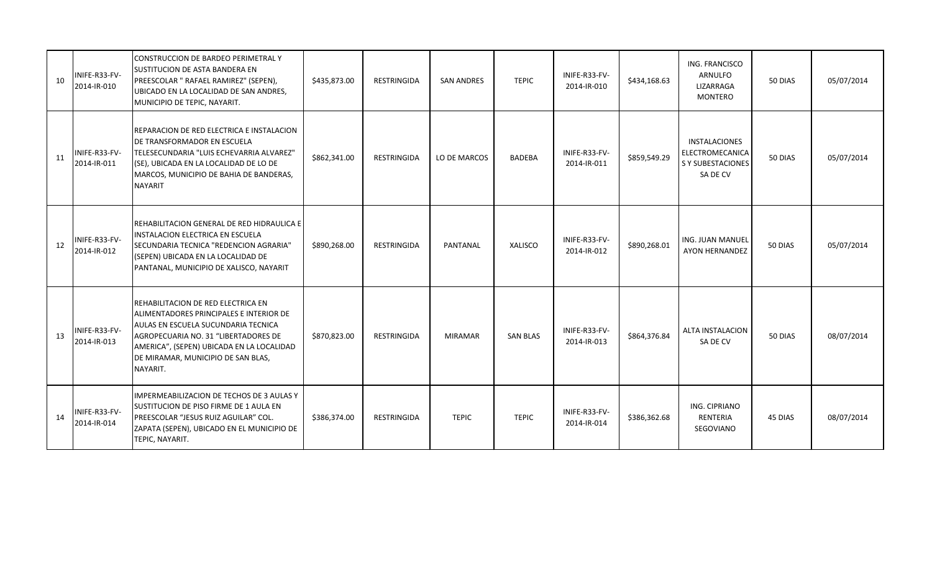| 10 | INIFE-R33-FV-<br>2014-IR-010 | CONSTRUCCION DE BARDEO PERIMETRAL Y<br>SUSTITUCION DE ASTA BANDERA EN<br>PREESCOLAR " RAFAEL RAMIREZ" (SEPEN),<br>UBICADO EN LA LOCALIDAD DE SAN ANDRES,<br>MUNICIPIO DE TEPIC, NAYARIT.                                                                    | \$435,873.00 | RESTRINGIDA | <b>SAN ANDRES</b> | <b>TEPIC</b>    | INIFE-R33-FV-<br>2014-IR-010 | \$434,168.63 | ING. FRANCISCO<br><b>ARNULFO</b><br>LIZARRAGA<br><b>MONTERO</b>   | 50 DIAS | 05/07/2014 |
|----|------------------------------|-------------------------------------------------------------------------------------------------------------------------------------------------------------------------------------------------------------------------------------------------------------|--------------|-------------|-------------------|-----------------|------------------------------|--------------|-------------------------------------------------------------------|---------|------------|
| 11 | INIFE-R33-FV-<br>2014-IR-011 | REPARACION DE RED ELECTRICA E INSTALACION<br>DE TRANSFORMADOR EN ESCUELA<br>TELESECUNDARIA "LUIS ECHEVARRIA ALVAREZ"<br>(SE), UBICADA EN LA LOCALIDAD DE LO DE<br>MARCOS, MUNICIPIO DE BAHIA DE BANDERAS,<br><b>NAYARIT</b>                                 | \$862,341.00 | RESTRINGIDA | LO DE MARCOS      | <b>BADEBA</b>   | INIFE-R33-FV-<br>2014-IR-011 | \$859,549.29 | INSTALACIONES<br>ELECTROMECANICA<br>S Y SUBESTACIONES<br>SA DE CV | 50 DIAS | 05/07/2014 |
| 12 | INIFE-R33-FV-<br>2014-IR-012 | REHABILITACION GENERAL DE RED HIDRAULICA E<br><b>INSTALACION ELECTRICA EN ESCUELA</b><br>SECUNDARIA TECNICA "REDENCION AGRARIA"<br>(SEPEN) UBICADA EN LA LOCALIDAD DE<br>PANTANAL, MUNICIPIO DE XALISCO, NAYARIT                                            | \$890,268.00 | RESTRINGIDA | PANTANAL          | XALISCO         | INIFE-R33-FV-<br>2014-IR-012 | \$890,268.01 | ING. JUAN MANUEL<br>AYON HERNANDEZ                                | 50 DIAS | 05/07/2014 |
| 13 | INIFE-R33-FV-<br>2014-IR-013 | REHABILITACION DE RED ELECTRICA EN<br>ALIMENTADORES PRINCIPALES E INTERIOR DE<br>AULAS EN ESCUELA SUCUNDARIA TECNICA<br>AGROPECUARIA NO. 31 "LIBERTADORES DE<br>AMERICA", (SEPEN) UBICADA EN LA LOCALIDAD<br>DE MIRAMAR, MUNICIPIO DE SAN BLAS,<br>NAYARIT. | \$870,823.00 | RESTRINGIDA | <b>MIRAMAR</b>    | <b>SAN BLAS</b> | INIFE-R33-FV-<br>2014-IR-013 | \$864,376.84 | ALTA INSTALACION<br>SA DE CV                                      | 50 DIAS | 08/07/2014 |
| 14 | INIFE-R33-FV-<br>2014-IR-014 | IMPERMEABILIZACION DE TECHOS DE 3 AULAS Y<br>SUSTITUCION DE PISO FIRME DE 1 AULA EN<br>PREESCOLAR "JESUS RUIZ AGUILAR" COL.<br>ZAPATA (SEPEN), UBICADO EN EL MUNICIPIO DE<br>TEPIC, NAYARIT.                                                                | \$386,374.00 | RESTRINGIDA | <b>TEPIC</b>      | <b>TEPIC</b>    | INIFE-R33-FV-<br>2014-IR-014 | \$386,362.68 | ING. CIPRIANO<br>RENTERIA<br>SEGOVIANO                            | 45 DIAS | 08/07/2014 |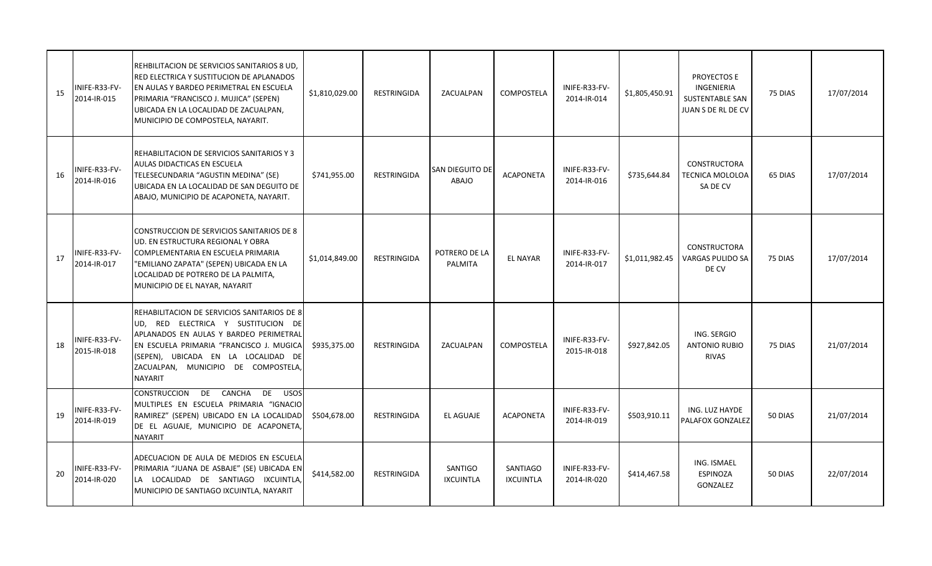| 15 | NIFE-R33-FV-<br>2014-IR-015  | REHBILITACION DE SERVICIOS SANITARIOS 8 UD,<br>RED ELECTRICA Y SUSTITUCION DE APLANADOS<br>EN AULAS Y BARDEO PERIMETRAL EN ESCUELA<br>PRIMARIA "FRANCISCO J. MUJICA" (SEPEN)<br>UBICADA EN LA LOCALIDAD DE ZACUALPAN,<br>MUNICIPIO DE COMPOSTELA, NAYARIT.              | \$1,810,029.00 | <b>RESTRINGIDA</b> | ZACUALPAN                       | <b>COMPOSTELA</b>                   | INIFE-R33-FV-<br>2014-IR-014 | \$1,805,450.91 | PROYECTOS E<br>INGENIERIA<br><b>SUSTENTABLE SAN</b><br>JUAN S DE RL DE CV | 75 DIAS | 17/07/2014 |
|----|------------------------------|-------------------------------------------------------------------------------------------------------------------------------------------------------------------------------------------------------------------------------------------------------------------------|----------------|--------------------|---------------------------------|-------------------------------------|------------------------------|----------------|---------------------------------------------------------------------------|---------|------------|
| 16 | NIFE-R33-FV-<br>2014-IR-016  | REHABILITACION DE SERVICIOS SANITARIOS Y 3<br>AULAS DIDACTICAS EN ESCUELA<br>TELESECUNDARIA "AGUSTIN MEDINA" (SE)<br>UBICADA EN LA LOCALIDAD DE SAN DEGUITO DE<br>ABAJO, MUNICIPIO DE ACAPONETA, NAYARIT.                                                               | \$741,955.00   | <b>RESTRINGIDA</b> | SAN DIEGUITO DE<br><b>ABAJO</b> | <b>ACAPONETA</b>                    | INIFE-R33-FV-<br>2014-IR-016 | \$735,644.84   | <b>CONSTRUCTORA</b><br>TECNICA MOLOLOA<br>SA DE CV                        | 65 DIAS | 17/07/2014 |
| 17 | NIFE-R33-FV-<br>2014-IR-017  | CONSTRUCCION DE SERVICIOS SANITARIOS DE 8<br>UD. EN ESTRUCTURA REGIONAL Y OBRA<br>COMPLEMENTARIA EN ESCUELA PRIMARIA<br>"EMILIANO ZAPATA" (SEPEN) UBICADA EN LA<br>LOCALIDAD DE POTRERO DE LA PALMITA,<br>MUNICIPIO DE EL NAYAR, NAYARIT                                | \$1,014,849.00 | <b>RESTRINGIDA</b> | POTRERO DE LA<br>PALMITA        | <b>EL NAYAR</b>                     | INIFE-R33-FV-<br>2014-IR-017 | \$1,011,982.45 | <b>CONSTRUCTORA</b><br><b>VARGAS PULIDO SA</b><br>DE CV                   | 75 DIAS | 17/07/2014 |
| 18 | NIFE-R33-FV-<br>2015-IR-018  | REHABILITACION DE SERVICIOS SANITARIOS DE 8<br>UD, RED ELECTRICA Y SUSTITUCION DE<br>APLANADOS EN AULAS Y BARDEO PERIMETRAL<br>EN ESCUELA PRIMARIA "FRANCISCO J. MUGICA<br>(SEPEN), UBICADA EN LA LOCALIDAD DE<br>ZACUALPAN, MUNICIPIO DE COMPOSTELA,<br><b>NAYARIT</b> | \$935,375.00   | <b>RESTRINGIDA</b> | ZACUALPAN                       | <b>COMPOSTELA</b>                   | INIFE-R33-FV-<br>2015-IR-018 | \$927,842.05   | ING. SERGIO<br><b>ANTONIO RUBIO</b><br><b>RIVAS</b>                       | 75 DIAS | 21/07/2014 |
| 19 | NIFE-R33-FV-<br>2014-IR-019  | CONSTRUCCION DE CANCHA<br>DE USOS<br>MULTIPLES EN ESCUELA PRIMARIA "IGNACIO<br>RAMIREZ" (SEPEN) UBICADO EN LA LOCALIDAD<br>DE EL AGUAJE, MUNICIPIO DE ACAPONETA,<br><b>NAYARIT</b>                                                                                      | \$504,678.00   | <b>RESTRINGIDA</b> | EL AGUAJE                       | <b>ACAPONETA</b>                    | INIFE-R33-FV-<br>2014-IR-019 | \$503,910.11   | ING. LUZ HAYDE<br><b>PALAFOX GONZALEZ</b>                                 | 50 DIAS | 21/07/2014 |
| 20 | INIFE-R33-FV-<br>2014-IR-020 | ADECUACION DE AULA DE MEDIOS EN ESCUELA<br>PRIMARIA "JUANA DE ASBAJE" (SE) UBICADA EN<br>LA LOCALIDAD DE SANTIAGO IXCUINTLA,<br>MUNICIPIO DE SANTIAGO IXCUINTLA, NAYARIT                                                                                                | \$414,582.00   | RESTRINGIDA        | SANTIGO<br><b>IXCUINTLA</b>     | <b>SANTIAGO</b><br><b>IXCUINTLA</b> | INIFE-R33-FV-<br>2014-IR-020 | \$414,467.58   | ING. ISMAEL<br>ESPINOZA<br>GONZALEZ                                       | 50 DIAS | 22/07/2014 |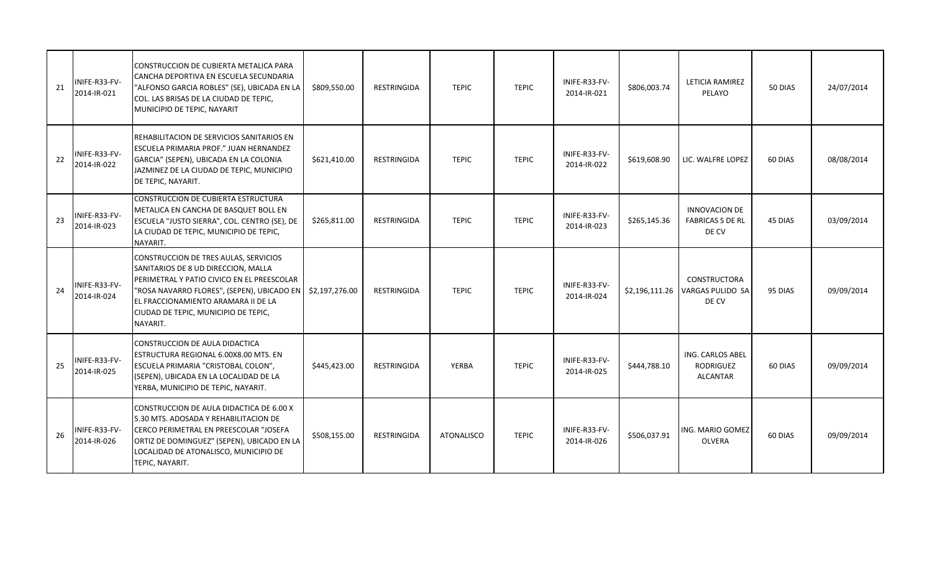| 21 | INIFE-R33-FV-<br>2014-IR-021 | CONSTRUCCION DE CUBIERTA METALICA PARA<br>CANCHA DEPORTIVA EN ESCUELA SECUNDARIA<br>"ALFONSO GARCIA ROBLES" (SE), UBICADA EN LA<br>COL. LAS BRISAS DE LA CIUDAD DE TEPIC,<br>MUNICIPIO DE TEPIC, NAYARIT                                                            | \$809,550.00   | RESTRINGIDA        | <b>TEPIC</b>      | <b>TEPIC</b> | INIFE-R33-FV-<br>2014-IR-021 | \$806,003.74   | LETICIA RAMIREZ<br>PELAYO                                      | 50 DIAS | 24/07/2014 |
|----|------------------------------|---------------------------------------------------------------------------------------------------------------------------------------------------------------------------------------------------------------------------------------------------------------------|----------------|--------------------|-------------------|--------------|------------------------------|----------------|----------------------------------------------------------------|---------|------------|
| 22 | INIFE-R33-FV-<br>2014-IR-022 | REHABILITACION DE SERVICIOS SANITARIOS EN<br>ESCUELA PRIMARIA PROF." JUAN HERNANDEZ<br>GARCIA" (SEPEN), UBICADA EN LA COLONIA<br>JAZMINEZ DE LA CIUDAD DE TEPIC, MUNICIPIO<br>DE TEPIC, NAYARIT.                                                                    | \$621,410.00   | <b>RESTRINGIDA</b> | <b>TEPIC</b>      | <b>TEPIC</b> | INIFE-R33-FV-<br>2014-IR-022 | \$619,608.90   | LIC. WALFRE LOPEZ                                              | 60 DIAS | 08/08/2014 |
| 23 | INIFE-R33-FV-<br>2014-IR-023 | CONSTRUCCION DE CUBIERTA ESTRUCTURA<br>METALICA EN CANCHA DE BASQUET BOLL EN<br>ESCUELA "JUSTO SIERRA", COL. CENTRO (SE), DE<br>LA CIUDAD DE TEPIC, MUNICIPIO DE TEPIC,<br>NAYARIT.                                                                                 | \$265,811.00   | <b>RESTRINGIDA</b> | <b>TEPIC</b>      | <b>TEPIC</b> | INIFE-R33-FV-<br>2014-IR-023 | \$265,145.36   | <b>INNOVACION DE</b><br><b>FABRICAS S DE RL</b><br>DE CV       | 45 DIAS | 03/09/2014 |
| 24 | NIFE-R33-FV-<br>2014-IR-024  | CONSTRUCCION DE TRES AULAS, SERVICIOS<br>SANITARIOS DE 8 UD DIRECCION, MALLA<br>PERIMETRAL Y PATIO CIVICO EN EL PREESCOLAR<br>"ROSA NAVARRO FLORES", (SEPEN), UBICADO EN<br>EL FRACCIONAMIENTO ARAMARA II DE LA<br>CIUDAD DE TEPIC, MUNICIPIO DE TEPIC,<br>NAYARIT. | \$2,197,276.00 | RESTRINGIDA        | <b>TEPIC</b>      | <b>TEPIC</b> | INIFE-R33-FV-<br>2014-IR-024 | \$2,196,111.26 | CONSTRUCTORA<br>VARGAS PULIDO SA<br>DE CV                      | 95 DIAS | 09/09/2014 |
| 25 | NIFE-R33-FV-<br>2014-IR-025  | CONSTRUCCION DE AULA DIDACTICA<br>ESTRUCTURA REGIONAL 6.00X8.00 MTS. EN<br>ESCUELA PRIMARIA "CRISTOBAL COLON",<br>(SEPEN), UBICADA EN LA LOCALIDAD DE LA<br>YERBA, MUNICIPIO DE TEPIC, NAYARIT.                                                                     | \$445,423.00   | RESTRINGIDA        | YERBA             | <b>TEPIC</b> | INIFE-R33-FV-<br>2014-IR-025 | \$444,788.10   | <b>ING. CARLOS ABEL</b><br><b>RODRIGUEZ</b><br><b>ALCANTAR</b> | 60 DIAS | 09/09/2014 |
| 26 | NIFE-R33-FV-<br>2014-IR-026  | CONSTRUCCION DE AULA DIDACTICA DE 6.00 X<br>5.30 MTS. ADOSADA Y REHABILITACION DE<br>CERCO PERIMETRAL EN PREESCOLAR "JOSEFA<br>ORTIZ DE DOMINGUEZ" (SEPEN), UBICADO EN LA<br>LOCALIDAD DE ATONALISCO, MUNICIPIO DE<br>TEPIC, NAYARIT.                               | \$508,155.00   | RESTRINGIDA        | <b>ATONALISCO</b> | <b>TEPIC</b> | INIFE-R33-FV-<br>2014-IR-026 | \$506,037.91   | ING. MARIO GOMEZ<br><b>OLVERA</b>                              | 60 DIAS | 09/09/2014 |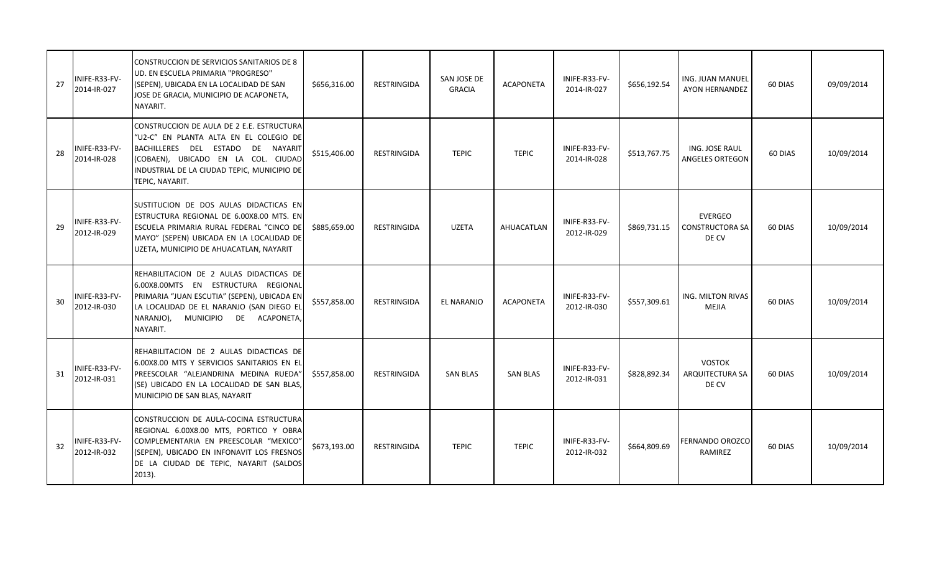| 27 | INIFE-R33-FV-<br>2014-IR-027 | CONSTRUCCION DE SERVICIOS SANITARIOS DE 8<br>UD. EN ESCUELA PRIMARIA "PROGRESO"<br>(SEPEN), UBICADA EN LA LOCALIDAD DE SAN<br>JOSE DE GRACIA, MUNICIPIO DE ACAPONETA,<br>NAYARIT.                                                  | \$656,316.00 | RESTRINGIDA        | SAN JOSE DE<br><b>GRACIA</b> | <b>ACAPONETA</b> | INIFE-R33-FV-<br>2014-IR-027 | \$656,192.54 | ING. JUAN MANUEL<br>AYON HERNANDEZ         | 60 DIAS | 09/09/2014 |
|----|------------------------------|------------------------------------------------------------------------------------------------------------------------------------------------------------------------------------------------------------------------------------|--------------|--------------------|------------------------------|------------------|------------------------------|--------------|--------------------------------------------|---------|------------|
| 28 | INIFE-R33-FV-<br>2014-IR-028 | CONSTRUCCION DE AULA DE 2 E.E. ESTRUCTURAL<br>"U2-C" EN PLANTA ALTA EN EL COLEGIO DE<br>BACHILLERES DEL ESTADO DE NAYARIT<br>(COBAEN), UBICADO EN LA COL. CIUDAD<br>INDUSTRIAL DE LA CIUDAD TEPIC, MUNICIPIO DE<br>TEPIC, NAYARIT. | \$515,406.00 | <b>RESTRINGIDA</b> | <b>TEPIC</b>                 | <b>TEPIC</b>     | INIFE-R33-FV-<br>2014-IR-028 | \$513,767.75 | ING. JOSE RAUL<br>ANGELES ORTEGON          | 60 DIAS | 10/09/2014 |
| 29 | INIFE-R33-FV-<br>2012-IR-029 | SUSTITUCION DE DOS AULAS DIDACTICAS EN<br>ESTRUCTURA REGIONAL DE 6.00X8.00 MTS. EN<br>ESCUELA PRIMARIA RURAL FEDERAL "CINCO DE<br>MAYO" (SEPEN) UBICADA EN LA LOCALIDAD DE<br>UZETA, MUNICIPIO DE AHUACATLAN, NAYARIT              | \$885,659.00 | <b>RESTRINGIDA</b> | <b>UZETA</b>                 | AHUACATLAN       | INIFE-R33-FV-<br>2012-IR-029 | \$869,731.15 | EVERGEO<br><b>CONSTRUCTORA SA</b><br>DE CV | 60 DIAS | 10/09/2014 |
| 30 | INIFE-R33-FV-<br>2012-IR-030 | REHABILITACION DE 2 AULAS DIDACTICAS DE<br>6.00X8.00MTS EN ESTRUCTURA REGIONAL<br>PRIMARIA "JUAN ESCUTIA" (SEPEN), UBICADA EN<br>LA LOCALIDAD DE EL NARANJO (SAN DIEGO EL<br>NARANJO),<br>MUNICIPIO DE ACAPONETA,<br>NAYARIT.      | \$557,858.00 | <b>RESTRINGIDA</b> | EL NARANJO                   | <b>ACAPONETA</b> | INIFE-R33-FV-<br>2012-IR-030 | \$557,309.61 | ING. MILTON RIVAS<br><b>MEJIA</b>          | 60 DIAS | 10/09/2014 |
| 31 | INIFE-R33-FV-<br>2012-IR-031 | REHABILITACION DE 2 AULAS DIDACTICAS DE<br>6.00X8.00 MTS Y SERVICIOS SANITARIOS EN EL<br>PREESCOLAR "ALEJANDRINA MEDINA RUEDA"<br>(SE) UBICADO EN LA LOCALIDAD DE SAN BLAS,<br>MUNICIPIO DE SAN BLAS, NAYARIT                      | \$557,858.00 | <b>RESTRINGIDA</b> | <b>SAN BLAS</b>              | <b>SAN BLAS</b>  | INIFE-R33-FV-<br>2012-IR-031 | \$828,892.34 | <b>VOSTOK</b><br>ARQUITECTURA SA<br>DE CV  | 60 DIAS | 10/09/2014 |
| 32 | INIFE-R33-FV-<br>2012-IR-032 | CONSTRUCCION DE AULA-COCINA ESTRUCTURA<br>REGIONAL 6.00X8.00 MTS, PORTICO Y OBRA<br>COMPLEMENTARIA EN PREESCOLAR "MEXICO"<br>(SEPEN), UBICADO EN INFONAVIT LOS FRESNOS<br>DE LA CIUDAD DE TEPIC, NAYARIT (SALDOS<br>$2013$ ).      | \$673,193.00 | <b>RESTRINGIDA</b> | <b>TEPIC</b>                 | <b>TEPIC</b>     | INIFE-R33-FV-<br>2012-IR-032 | \$664,809.69 | <b>FERNANDO OROZCO</b><br>RAMIREZ          | 60 DIAS | 10/09/2014 |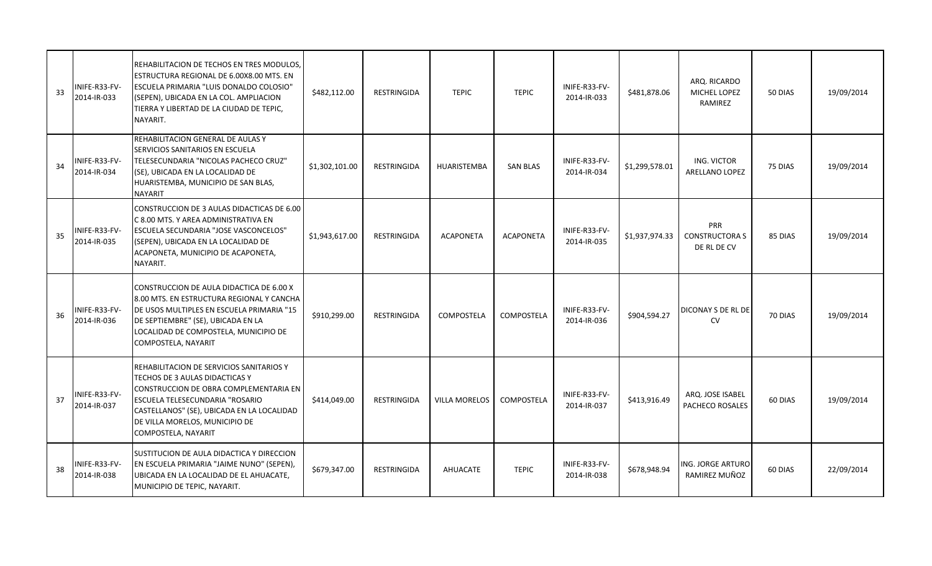| 33 | INIFE-R33-FV-<br>2014-IR-033 | REHABILITACION DE TECHOS EN TRES MODULOS.<br>ESTRUCTURA REGIONAL DE 6.00X8.00 MTS. EN<br>ESCUELA PRIMARIA "LUIS DONALDO COLOSIO"<br>(SEPEN), UBICADA EN LA COL. AMPLIACION<br>TIERRA Y LIBERTAD DE LA CIUDAD DE TEPIC,<br>NAYARIT.                             | \$482,112.00   | RESTRINGIDA        | <b>TEPIC</b>     | <b>TEPIC</b>     | INIFE-R33-FV-<br>2014-IR-033 | \$481,878.06   | ARQ. RICARDO<br>MICHEL LOPEZ<br>RAMIREZ     | 50 DIAS | 19/09/2014 |
|----|------------------------------|----------------------------------------------------------------------------------------------------------------------------------------------------------------------------------------------------------------------------------------------------------------|----------------|--------------------|------------------|------------------|------------------------------|----------------|---------------------------------------------|---------|------------|
| 34 | INIFE-R33-FV-<br>2014-IR-034 | REHABILITACION GENERAL DE AULAS Y<br>SERVICIOS SANITARIOS EN ESCUELA<br>TELESECUNDARIA "NICOLAS PACHECO CRUZ"<br>(SE), UBICADA EN LA LOCALIDAD DE<br>HUARISTEMBA, MUNICIPIO DE SAN BLAS,<br>NAYARIT                                                            | \$1,302,101.00 | RESTRINGIDA        | HUARISTEMBA      | <b>SAN BLAS</b>  | INIFE-R33-FV-<br>2014-IR-034 | \$1,299,578.01 | ING. VICTOR<br>ARELLANO LOPEZ               | 75 DIAS | 19/09/2014 |
| 35 | INIFE-R33-FV-<br>2014-IR-035 | CONSTRUCCION DE 3 AULAS DIDACTICAS DE 6.00<br>C 8.00 MTS. Y AREA ADMINISTRATIVA EN<br>ESCUELA SECUNDARIA "JOSE VASCONCELOS"<br>(SEPEN), UBICADA EN LA LOCALIDAD DE<br>ACAPONETA, MUNICIPIO DE ACAPONETA,<br>NAYARIT.                                           | \$1,943,617.00 | RESTRINGIDA        | <b>ACAPONETA</b> | <b>ACAPONETA</b> | INIFE-R33-FV-<br>2014-IR-035 | \$1,937,974.33 | PRR<br><b>CONSTRUCTORA S</b><br>DE RL DE CV | 85 DIAS | 19/09/2014 |
| 36 | INIFE-R33-FV-<br>2014-IR-036 | CONSTRUCCION DE AULA DIDACTICA DE 6.00 X<br>8.00 MTS. EN ESTRUCTURA REGIONAL Y CANCHA<br>DE USOS MULTIPLES EN ESCUELA PRIMARIA "15<br>DE SEPTIEMBRE" (SE), UBICADA EN LA<br>LOCALIDAD DE COMPOSTELA, MUNICIPIO DE<br>COMPOSTELA, NAYARIT                       | \$910,299.00   | RESTRINGIDA        | COMPOSTELA       | COMPOSTELA       | INIFE-R33-FV-<br>2014-IR-036 | \$904,594.27   | DICONAY S DE RL DE<br>CV                    | 70 DIAS | 19/09/2014 |
| 37 | INIFE-R33-FV-<br>2014-IR-037 | REHABILITACION DE SERVICIOS SANITARIOS Y<br>TECHOS DE 3 AULAS DIDACTICAS Y<br>CONSTRUCCION DE OBRA COMPLEMENTARIA EN<br>ESCUELA TELESECUNDARIA "ROSARIO<br>CASTELLANOS" (SE), UBICADA EN LA LOCALIDAD<br>DE VILLA MORELOS, MUNICIPIO DE<br>COMPOSTELA, NAYARIT | \$414,049.00   | <b>RESTRINGIDA</b> | VILLA MORELOS    | COMPOSTELA       | INIFE-R33-FV-<br>2014-IR-037 | \$413,916.49   | ARQ. JOSE ISABEL<br>PACHECO ROSALES         | 60 DIAS | 19/09/2014 |
| 38 | INIFE-R33-FV-<br>2014-IR-038 | SUSTITUCION DE AULA DIDACTICA Y DIRECCION<br>EN ESCUELA PRIMARIA "JAIME NUNO" (SEPEN),<br>UBICADA EN LA LOCALIDAD DE EL AHUACATE,<br>MUNICIPIO DE TEPIC, NAYARIT.                                                                                              | \$679,347.00   | <b>RESTRINGIDA</b> | AHUACATE         | <b>TEPIC</b>     | INIFE-R33-FV-<br>2014-IR-038 | \$678,948.94   | ING. JORGE ARTURO<br>RAMIREZ MUÑOZ          | 60 DIAS | 22/09/2014 |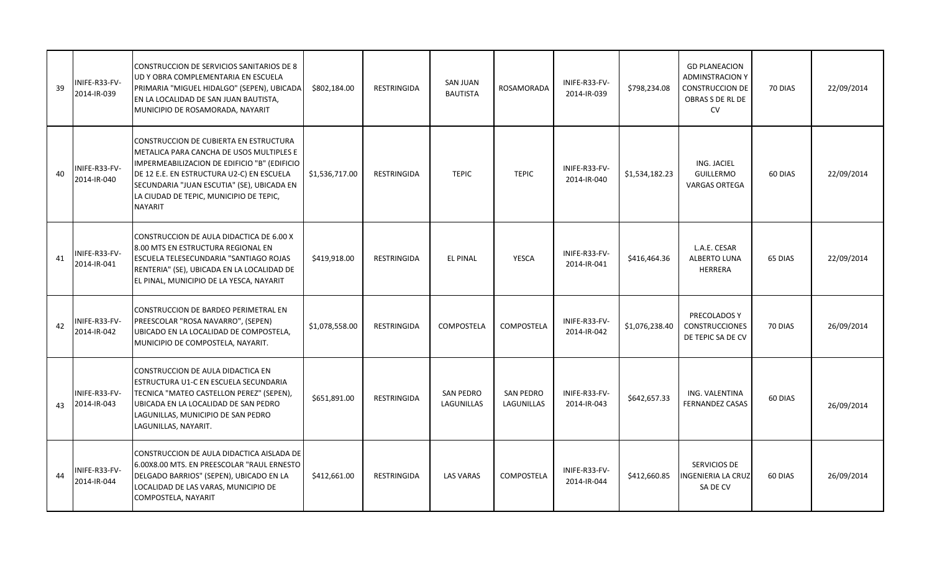| 39 | NIFE-R33-FV-<br>2014-IR-039  | CONSTRUCCION DE SERVICIOS SANITARIOS DE 8<br>UD Y OBRA COMPLEMENTARIA EN ESCUELA<br>PRIMARIA "MIGUEL HIDALGO" (SEPEN), UBICADA<br>EN LA LOCALIDAD DE SAN JUAN BAUTISTA,<br>MUNICIPIO DE ROSAMORADA, NAYARIT                                                                                | \$802,184.00   | RESTRINGIDA        | <b>SAN JUAN</b><br><b>BAUTISTA</b> | ROSAMORADA                     | INIFE-R33-FV-<br>2014-IR-039 | \$798,234.08   | <b>GD PLANEACION</b><br><b>ADMINSTRACION Y</b><br><b>CONSTRUCCION DE</b><br>OBRAS S DE RL DE<br><b>CV</b> | 70 DIAS | 22/09/2014 |
|----|------------------------------|--------------------------------------------------------------------------------------------------------------------------------------------------------------------------------------------------------------------------------------------------------------------------------------------|----------------|--------------------|------------------------------------|--------------------------------|------------------------------|----------------|-----------------------------------------------------------------------------------------------------------|---------|------------|
| 40 | NIFE-R33-FV-<br>2014-IR-040  | CONSTRUCCION DE CUBIERTA EN ESTRUCTURA<br>METALICA PARA CANCHA DE USOS MULTIPLES E<br>IMPERMEABILIZACION DE EDIFICIO "B" (EDIFICIO<br>DE 12 E.E. EN ESTRUCTURA U2-C) EN ESCUELA<br>SECUNDARIA "JUAN ESCUTIA" (SE), UBICADA EN<br>LA CIUDAD DE TEPIC, MUNICIPIO DE TEPIC,<br><b>NAYARIT</b> | \$1,536,717.00 | RESTRINGIDA        | <b>TEPIC</b>                       | <b>TEPIC</b>                   | INIFE-R33-FV-<br>2014-IR-040 | \$1,534,182.23 | ING. JACIEL<br><b>GUILLERMO</b><br><b>VARGAS ORTEGA</b>                                                   | 60 DIAS | 22/09/2014 |
| 41 | INIFE-R33-FV-<br>2014-IR-041 | CONSTRUCCION DE AULA DIDACTICA DE 6.00 X<br>8.00 MTS EN ESTRUCTURA REGIONAL EN<br>ESCUELA TELESECUNDARIA "SANTIAGO ROJAS<br>RENTERIA" (SE), UBICADA EN LA LOCALIDAD DE<br>EL PINAL, MUNICIPIO DE LA YESCA, NAYARIT                                                                         | \$419,918.00   | RESTRINGIDA        | <b>EL PINAL</b>                    | YESCA                          | INIFE-R33-FV-<br>2014-IR-041 | \$416,464.36   | L.A.E. CESAR<br>ALBERTO LUNA<br>HERRERA                                                                   | 65 DIAS | 22/09/2014 |
| 42 | INIFE-R33-FV-<br>2014-IR-042 | CONSTRUCCION DE BARDEO PERIMETRAL EN<br>PREESCOLAR "ROSA NAVARRO", (SEPEN)<br>UBICADO EN LA LOCALIDAD DE COMPOSTELA,<br>MUNICIPIO DE COMPOSTELA, NAYARIT.                                                                                                                                  | \$1,078,558.00 | RESTRINGIDA        | COMPOSTELA                         | <b>COMPOSTELA</b>              | INIFE-R33-FV-<br>2014-IR-042 | \$1,076,238.40 | PRECOLADOS Y<br><b>CONSTRUCCIONES</b><br>DE TEPIC SA DE CV                                                | 70 DIAS | 26/09/2014 |
| 43 | INIFE-R33-FV-<br>2014-IR-043 | CONSTRUCCION DE AULA DIDACTICA EN<br>ESTRUCTURA U1-C EN ESCUELA SECUNDARIA<br>TECNICA "MATEO CASTELLON PEREZ" (SEPEN),<br>UBICADA EN LA LOCALIDAD DE SAN PEDRO<br>LAGUNILLAS, MUNICIPIO DE SAN PEDRO<br>LAGUNILLAS, NAYARIT.                                                               | \$651,891.00   | <b>RESTRINGIDA</b> | <b>SAN PEDRO</b><br>LAGUNILLAS     | <b>SAN PEDRO</b><br>LAGUNILLAS | INIFE-R33-FV-<br>2014-IR-043 | \$642,657.33   | ING. VALENTINA<br><b>FERNANDEZ CASAS</b>                                                                  | 60 DIAS | 26/09/2014 |
| 44 | NIFE-R33-FV-<br>2014-IR-044  | CONSTRUCCION DE AULA DIDACTICA AISLADA DE<br>6.00X8.00 MTS. EN PREESCOLAR "RAUL ERNESTO<br>DELGADO BARRIOS" (SEPEN), UBICADO EN LA<br>LOCALIDAD DE LAS VARAS, MUNICIPIO DE<br>COMPOSTELA, NAYARIT                                                                                          | \$412,661.00   | RESTRINGIDA        | <b>LAS VARAS</b>                   | COMPOSTELA                     | INIFE-R33-FV-<br>2014-IR-044 | \$412,660.85   | SERVICIOS DE<br><b>INGENIERIA LA CRUZ</b><br>SA DE CV                                                     | 60 DIAS | 26/09/2014 |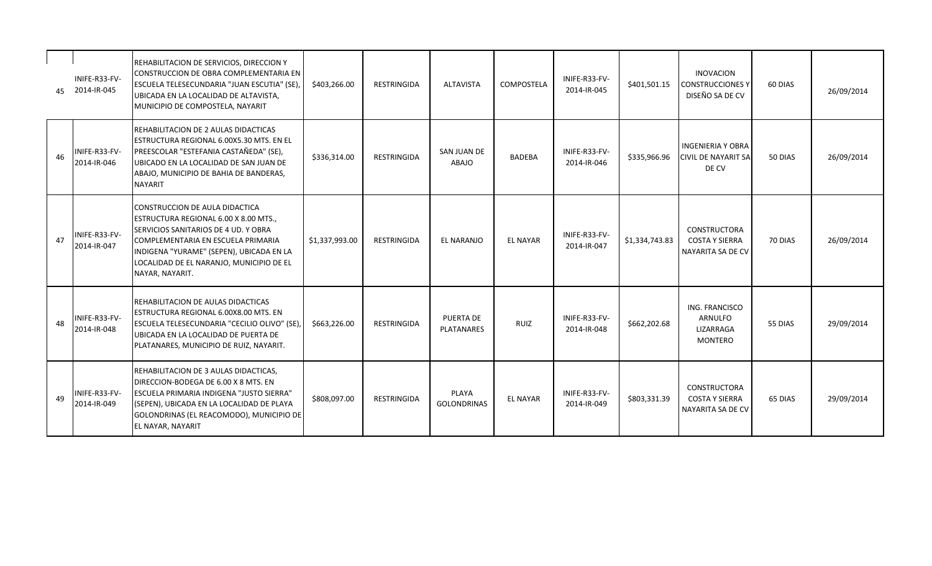| 45 | INIFE-R33-FV-<br>2014-IR-045 | REHABILITACION DE SERVICIOS, DIRECCION Y<br>CONSTRUCCION DE OBRA COMPLEMENTARIA EN<br>ESCUELA TELESECUNDARIA "JUAN ESCUTIA" (SE),<br>UBICADA EN LA LOCALIDAD DE ALTAVISTA,<br>MUNICIPIO DE COMPOSTELA, NAYARIT                                                   | \$403,266.00   | RESTRINGIDA        | <b>ALTAVISTA</b>               | COMPOSTELA      | INIFE-R33-FV-<br>2014-IR-045 | \$401,501.15   | <b>INOVACION</b><br><b>CONSTRUCCIONES Y</b><br>DISEÑO SA DE CV  | 60 DIAS | 26/09/2014 |
|----|------------------------------|------------------------------------------------------------------------------------------------------------------------------------------------------------------------------------------------------------------------------------------------------------------|----------------|--------------------|--------------------------------|-----------------|------------------------------|----------------|-----------------------------------------------------------------|---------|------------|
| 46 | INIFE-R33-FV-<br>2014-IR-046 | REHABILITACION DE 2 AULAS DIDACTICAS<br>ESTRUCTURA REGIONAL 6.00X5.30 MTS. EN EL<br>PREESCOLAR "ESTEFANIA CASTAÑEDA" (SE),<br>UBICADO EN LA LOCALIDAD DE SAN JUAN DE<br>ABAJO, MUNICIPIO DE BAHIA DE BANDERAS,<br><b>NAYARIT</b>                                 | \$336,314.00   | <b>RESTRINGIDA</b> | SAN JUAN DE<br>ABAJO           | <b>BADEBA</b>   | INIFE-R33-FV-<br>2014-IR-046 | \$335,966.96   | <b>INGENIERIA Y OBRA</b><br><b>CIVIL DE NAYARIT SA</b><br>DE CV | 50 DIAS | 26/09/2014 |
| 47 | INIFE-R33-FV-<br>2014-IR-047 | CONSTRUCCION DE AULA DIDACTICA<br>ESTRUCTURA REGIONAL 6.00 X 8.00 MTS.,<br>SERVICIOS SANITARIOS DE 4 UD. Y OBRA<br>COMPLEMENTARIA EN ESCUELA PRIMARIA<br>INDIGENA "YURAME" (SEPEN), UBICADA EN LA<br>LOCALIDAD DE EL NARANJO, MUNICIPIO DE EL<br>NAYAR, NAYARIT. | \$1,337,993.00 | RESTRINGIDA        | EL NARANJO                     | <b>EL NAYAR</b> | INIFE-R33-FV-<br>2014-IR-047 | \$1,334,743.83 | CONSTRUCTORA<br><b>COSTA Y SIERRA</b><br>NAYARITA SA DE CV      | 70 DIAS | 26/09/2014 |
| 48 | INIFE-R33-FV-<br>2014-IR-048 | REHABILITACION DE AULAS DIDACTICAS<br>ESTRUCTURA REGIONAL 6.00X8.00 MTS. EN<br>ESCUELA TELESECUNDARIA "CECILIO OLIVO" (SE),<br>UBICADA EN LA LOCALIDAD DE PUERTA DE<br>PLATANARES, MUNICIPIO DE RUIZ, NAYARIT.                                                   | \$663,226.00   | <b>RESTRINGIDA</b> | <b>PUERTA DE</b><br>PLATANARES | RUIZ            | INIFE-R33-FV-<br>2014-IR-048 | \$662,202.68   | ING. FRANCISCO<br><b>ARNULFO</b><br>LIZARRAGA<br><b>MONTERO</b> | 55 DIAS | 29/09/2014 |
| 49 | INIFE-R33-FV-<br>2014-IR-049 | REHABILITACION DE 3 AULAS DIDACTICAS,<br>DIRECCION-BODEGA DE 6.00 X 8 MTS. EN<br><b>ESCUELA PRIMARIA INDIGENA "JUSTO SIERRA"</b><br>(SEPEN), UBICADA EN LA LOCALIDAD DE PLAYA<br>GOLONDRINAS (EL REACOMODO), MUNICIPIO DE<br>EL NAYAR, NAYARIT                   | \$808,097.00   | <b>RESTRINGIDA</b> | PLAYA<br><b>GOLONDRINAS</b>    | <b>EL NAYAR</b> | INIFE-R33-FV-<br>2014-IR-049 | \$803,331.39   | CONSTRUCTORA<br><b>COSTA Y SIERRA</b><br>NAYARITA SA DE CV      | 65 DIAS | 29/09/2014 |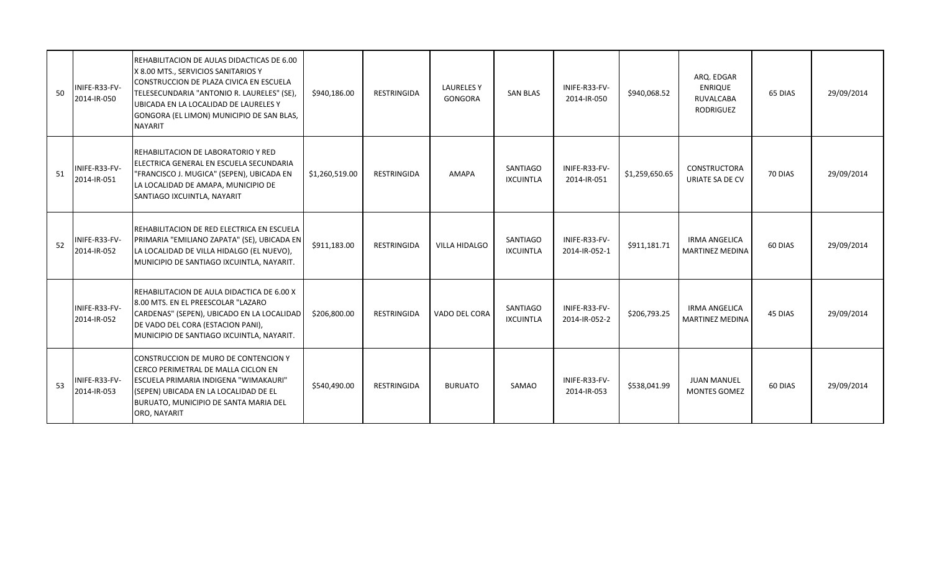| 50 | <b>INIFE-R33-FV-</b><br>2014-IR-050 | REHABILITACION DE AULAS DIDACTICAS DE 6.00<br>X 8.00 MTS., SERVICIOS SANITARIOS Y<br>CONSTRUCCION DE PLAZA CIVICA EN ESCUELA<br>TELESECUNDARIA "ANTONIO R. LAURELES" (SE),<br>UBICADA EN LA LOCALIDAD DE LAURELES Y<br>GONGORA (EL LIMON) MUNICIPIO DE SAN BLAS,<br><b>NAYARIT</b> | \$940,186.00   | RESTRINGIDA        | <b>LAURELES Y</b><br>GONGORA | <b>SAN BLAS</b>                     | INIFE-R33-FV-<br>2014-IR-050   | \$940,068.52   | ARQ. EDGAR<br><b>ENRIQUE</b><br>RUVALCABA<br><b>RODRIGUEZ</b> | 65 DIAS | 29/09/2014 |
|----|-------------------------------------|------------------------------------------------------------------------------------------------------------------------------------------------------------------------------------------------------------------------------------------------------------------------------------|----------------|--------------------|------------------------------|-------------------------------------|--------------------------------|----------------|---------------------------------------------------------------|---------|------------|
| 51 | INIFE-R33-FV-<br>2014-IR-051        | REHABILITACION DE LABORATORIO Y RED<br>ELECTRICA GENERAL EN ESCUELA SECUNDARIA<br>"FRANCISCO J. MUGICA" (SEPEN), UBICADA EN<br>LA LOCALIDAD DE AMAPA, MUNICIPIO DE<br>SANTIAGO IXCUINTLA, NAYARIT                                                                                  | \$1,260,519.00 | RESTRINGIDA        | AMAPA                        | SANTIAGO<br>IXCUINTLA               | INIFE-R33-FV-<br>2014-IR-051   | \$1,259,650.65 | CONSTRUCTORA<br>URIATE SA DE CV                               | 70 DIAS | 29/09/2014 |
| 52 | INIFE-R33-FV-<br>2014-IR-052        | REHABILITACION DE RED ELECTRICA EN ESCUELA<br>PRIMARIA "EMILIANO ZAPATA" (SE), UBICADA EN<br>LA LOCALIDAD DE VILLA HIDALGO (EL NUEVO),<br>MUNICIPIO DE SANTIAGO IXCUINTLA, NAYARIT.                                                                                                | \$911,183.00   | <b>RESTRINGIDA</b> | <b>VILLA HIDALGO</b>         | SANTIAGO<br><b>IXCUINTLA</b>        | INIFE-R33-FV-<br>2014-IR-052-1 | \$911,181.71   | <b>IRMA ANGELICA</b><br><b>MARTINEZ MEDINA</b>                | 60 DIAS | 29/09/2014 |
|    | INIFE-R33-FV-<br>2014-IR-052        | REHABILITACION DE AULA DIDACTICA DE 6.00 X<br>8.00 MTS. EN EL PREESCOLAR "LAZARO<br>CARDENAS" (SEPEN), UBICADO EN LA LOCALIDAD<br>DE VADO DEL CORA (ESTACION PANI),<br>MUNICIPIO DE SANTIAGO IXCUINTLA, NAYARIT.                                                                   | \$206,800.00   | RESTRINGIDA        | VADO DEL CORA                | <b>SANTIAGO</b><br><b>IXCUINTLA</b> | INIFE-R33-FV-<br>2014-IR-052-2 | \$206,793.25   | <b>IRMA ANGELICA</b><br><b>MARTINEZ MEDINA</b>                | 45 DIAS | 29/09/2014 |
| 53 | INIFE-R33-FV-<br>2014-IR-053        | CONSTRUCCION DE MURO DE CONTENCION Y<br>CERCO PERIMETRAL DE MALLA CICLON EN<br>ESCUELA PRIMARIA INDIGENA "WIMAKAURI"<br>(SEPEN) UBICADA EN LA LOCALIDAD DE EL<br>BURUATO, MUNICIPIO DE SANTA MARIA DEL<br>ORO, NAYARIT                                                             | \$540,490.00   | <b>RESTRINGIDA</b> | <b>BURUATO</b>               | SAMAO                               | INIFE-R33-FV-<br>2014-IR-053   | \$538,041.99   | <b>JUAN MANUEL</b><br><b>MONTES GOMEZ</b>                     | 60 DIAS | 29/09/2014 |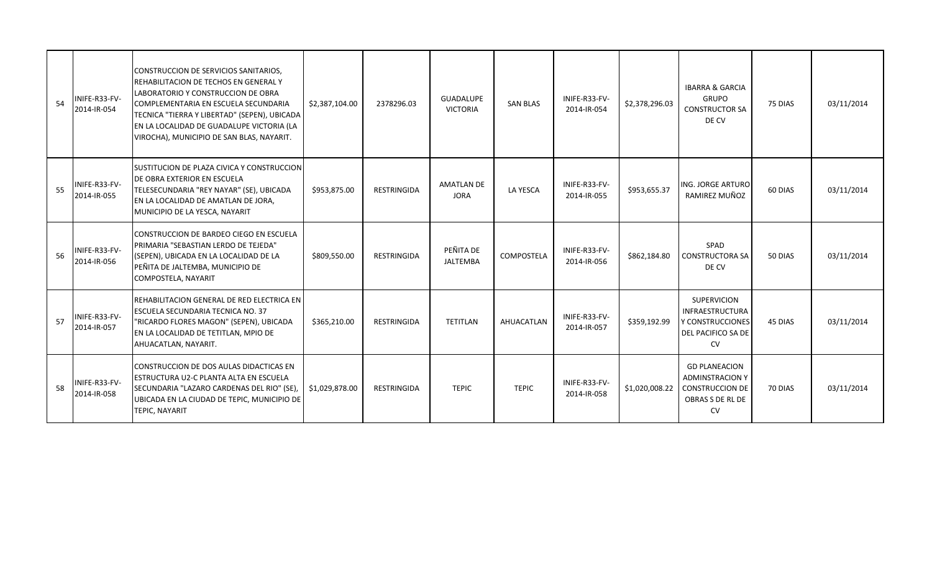| 54 | INIFE-R33-FV-<br>2014-IR-054 | CONSTRUCCION DE SERVICIOS SANITARIOS,<br><b>IREHABILITACION DE TECHOS EN GENERAL Y</b><br>LABORATORIO Y CONSTRUCCION DE OBRA<br>COMPLEMENTARIA EN ESCUELA SECUNDARIA<br>TECNICA "TIERRA Y LIBERTAD" (SEPEN), UBICADA<br>EN LA LOCALIDAD DE GUADALUPE VICTORIA (LA<br>VIROCHA), MUNICIPIO DE SAN BLAS, NAYARIT. | \$2,387,104.00 | 2378296.03         | <b>GUADALUPE</b><br><b>VICTORIA</b> | <b>SAN BLAS</b> | INIFE-R33-FV-<br>2014-IR-054 | \$2,378,296.03 | <b>IBARRA &amp; GARCIA</b><br><b>GRUPO</b><br><b>CONSTRUCTOR SA</b><br>DE CV                              | 75 DIAS | 03/11/2014 |
|----|------------------------------|----------------------------------------------------------------------------------------------------------------------------------------------------------------------------------------------------------------------------------------------------------------------------------------------------------------|----------------|--------------------|-------------------------------------|-----------------|------------------------------|----------------|-----------------------------------------------------------------------------------------------------------|---------|------------|
| 55 | INIFE-R33-FV-<br>2014-IR-055 | <b>SUSTITUCION DE PLAZA CIVICA Y CONSTRUCCION</b><br>DE OBRA EXTERIOR EN ESCUELA<br>TELESECUNDARIA "REY NAYAR" (SE), UBICADA<br>EN LA LOCALIDAD DE AMATLAN DE JORA,<br>MUNICIPIO DE LA YESCA, NAYARIT                                                                                                          | \$953,875.00   | <b>RESTRINGIDA</b> | <b>AMATLAN DE</b><br><b>JORA</b>    | LA YESCA        | INIFE-R33-FV-<br>2014-IR-055 | \$953,655.37   | ING. JORGE ARTURO<br>RAMIREZ MUÑOZ                                                                        | 60 DIAS | 03/11/2014 |
| 56 | INIFE-R33-FV-<br>2014-IR-056 | CONSTRUCCION DE BARDEO CIEGO EN ESCUELA<br>PRIMARIA "SEBASTIAN LERDO DE TEJEDA"<br>(SEPEN), UBICADA EN LA LOCALIDAD DE LA<br>PEÑITA DE JALTEMBA, MUNICIPIO DE<br>COMPOSTELA, NAYARIT                                                                                                                           | \$809,550.00   | <b>RESTRINGIDA</b> | PEÑITA DE<br><b>JALTEMBA</b>        | COMPOSTELA      | INIFE-R33-FV-<br>2014-IR-056 | \$862,184.80   | SPAD<br><b>CONSTRUCTORA SA</b><br>DE CV                                                                   | 50 DIAS | 03/11/2014 |
| 57 | INIFE-R33-FV-<br>2014-IR-057 | IREHABILITACION GENERAL DE RED ELECTRICA EN<br><b>ESCUELA SECUNDARIA TECNICA NO. 37</b><br>"RICARDO FLORES MAGON" (SEPEN), UBICADA<br>EN LA LOCALIDAD DE TETITLAN, MPIO DE<br>AHUACATLAN, NAYARIT.                                                                                                             | \$365,210.00   | <b>RESTRINGIDA</b> | TETITLAN                            | AHUACATLAN      | INIFE-R33-FV-<br>2014-IR-057 | \$359,192.99   | <b>SUPERVICION</b><br><b>INFRAESTRUCTURA</b><br>Y CONSTRUCCIONES<br>DEL PACIFICO SA DE<br><b>CV</b>       | 45 DIAS | 03/11/2014 |
| 58 | INIFE-R33-FV-<br>2014-IR-058 | CONSTRUCCION DE DOS AULAS DIDACTICAS EN<br><b>IESTRUCTURA U2-C PLANTA ALTA EN ESCUELA</b><br>SECUNDARIA "LAZARO CARDENAS DEL RIO" (SE)<br>UBICADA EN LA CIUDAD DE TEPIC, MUNICIPIO DE<br><b>TEPIC, NAYARIT</b>                                                                                                 | \$1,029,878.00 | <b>RESTRINGIDA</b> | <b>TEPIC</b>                        | <b>TEPIC</b>    | INIFE-R33-FV-<br>2014-IR-058 | \$1,020,008.22 | <b>GD PLANEACION</b><br><b>ADMINSTRACION Y</b><br><b>CONSTRUCCION DE</b><br>OBRAS S DE RL DE<br><b>CV</b> | 70 DIAS | 03/11/2014 |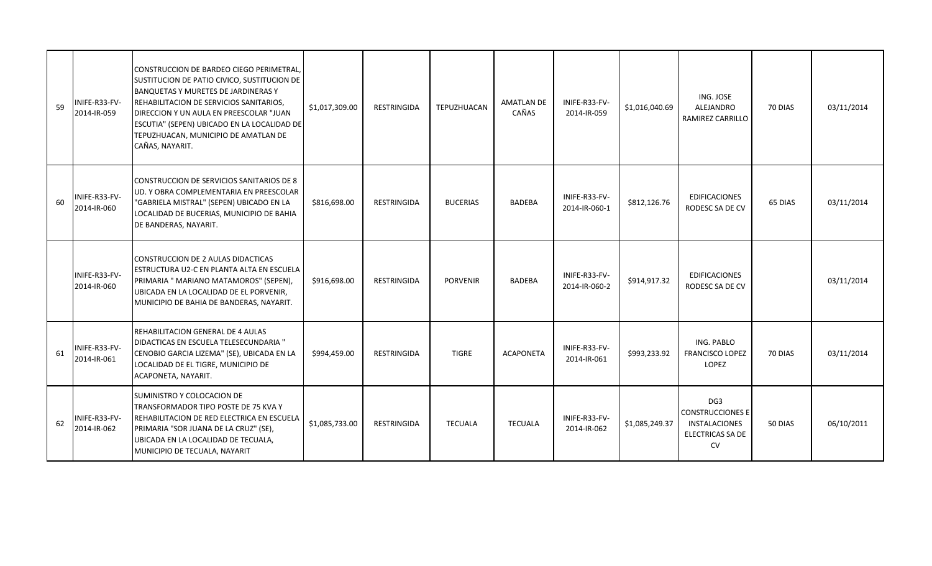| 59 | INIFE-R33-FV-<br>2014-IR-059 | CONSTRUCCION DE BARDEO CIEGO PERIMETRAL,<br>SUSTITUCION DE PATIO CIVICO, SUSTITUCION DE<br><b>BANQUETAS Y MURETES DE JARDINERAS Y</b><br>REHABILITACION DE SERVICIOS SANITARIOS,<br>DIRECCION Y UN AULA EN PREESCOLAR "JUAN<br>ESCUTIA" (SEPEN) UBICADO EN LA LOCALIDAD DE<br>TEPUZHUACAN, MUNICIPIO DE AMATLAN DE<br>CAÑAS, NAYARIT. | \$1,017,309.00 | <b>RESTRINGIDA</b> | <b>TEPUZHUACAN</b> | <b>AMATLAN DE</b><br>CAÑAS | INIFE-R33-FV-<br>2014-IR-059   | \$1,016,040.69 | ING. JOSE<br><b>ALEJANDRO</b><br>RAMIREZ CARRILLO                                            | 70 DIAS | 03/11/2014 |
|----|------------------------------|---------------------------------------------------------------------------------------------------------------------------------------------------------------------------------------------------------------------------------------------------------------------------------------------------------------------------------------|----------------|--------------------|--------------------|----------------------------|--------------------------------|----------------|----------------------------------------------------------------------------------------------|---------|------------|
| 60 | INIFE-R33-FV-<br>2014-IR-060 | CONSTRUCCION DE SERVICIOS SANITARIOS DE 8<br>UD. Y OBRA COMPLEMENTARIA EN PREESCOLAR<br>"GABRIELA MISTRAL" (SEPEN) UBICADO EN LA<br>LOCALIDAD DE BUCERIAS, MUNICIPIO DE BAHIA<br>DE BANDERAS, NAYARIT.                                                                                                                                | \$816,698.00   | <b>RESTRINGIDA</b> | <b>BUCERIAS</b>    | <b>BADEBA</b>              | INIFE-R33-FV-<br>2014-IR-060-1 | \$812,126.76   | <b>EDIFICACIONES</b><br>RODESC SA DE CV                                                      | 65 DIAS | 03/11/2014 |
|    | INIFE-R33-FV-<br>2014-IR-060 | CONSTRUCCION DE 2 AULAS DIDACTICAS<br>ESTRUCTURA U2-C EN PLANTA ALTA EN ESCUELA<br>PRIMARIA " MARIANO MATAMOROS" (SEPEN),<br>UBICADA EN LA LOCALIDAD DE EL PORVENIR,<br>MUNICIPIO DE BAHIA DE BANDERAS, NAYARIT.                                                                                                                      | \$916,698.00   | <b>RESTRINGIDA</b> | <b>PORVENIR</b>    | <b>BADEBA</b>              | INIFE-R33-FV-<br>2014-IR-060-2 | \$914,917.32   | <b>EDIFICACIONES</b><br>RODESC SA DE CV                                                      |         | 03/11/2014 |
| 61 | INIFE-R33-FV-<br>2014-IR-061 | <b>REHABILITACION GENERAL DE 4 AULAS</b><br>DIDACTICAS EN ESCUELA TELESECUNDARIA "<br>CENOBIO GARCIA LIZEMA" (SE), UBICADA EN LA<br>LOCALIDAD DE EL TIGRE, MUNICIPIO DE<br>ACAPONETA, NAYARIT.                                                                                                                                        | \$994,459.00   | <b>RESTRINGIDA</b> | <b>TIGRE</b>       | <b>ACAPONETA</b>           | INIFE-R33-FV-<br>2014-IR-061   | \$993,233.92   | ING. PABLO<br><b>FRANCISCO LOPEZ</b><br><b>LOPEZ</b>                                         | 70 DIAS | 03/11/2014 |
| 62 | INIFE-R33-FV-<br>2014-IR-062 | SUMINISTRO Y COLOCACION DE<br>TRANSFORMADOR TIPO POSTE DE 75 KVA Y<br>REHABILITACION DE RED ELECTRICA EN ESCUELA<br>PRIMARIA "SOR JUANA DE LA CRUZ" (SE),<br>UBICADA EN LA LOCALIDAD DE TECUALA,<br>MUNICIPIO DE TECUALA, NAYARIT                                                                                                     | \$1,085,733.00 | <b>RESTRINGIDA</b> | <b>TECUALA</b>     | <b>TECUALA</b>             | INIFE-R33-FV-<br>2014-IR-062   | \$1,085,249.37 | DG <sub>3</sub><br><b>CONSTRUCCIONES E</b><br>INSTALACIONES<br>ELECTRICAS SA DE<br><b>CV</b> | 50 DIAS | 06/10/2011 |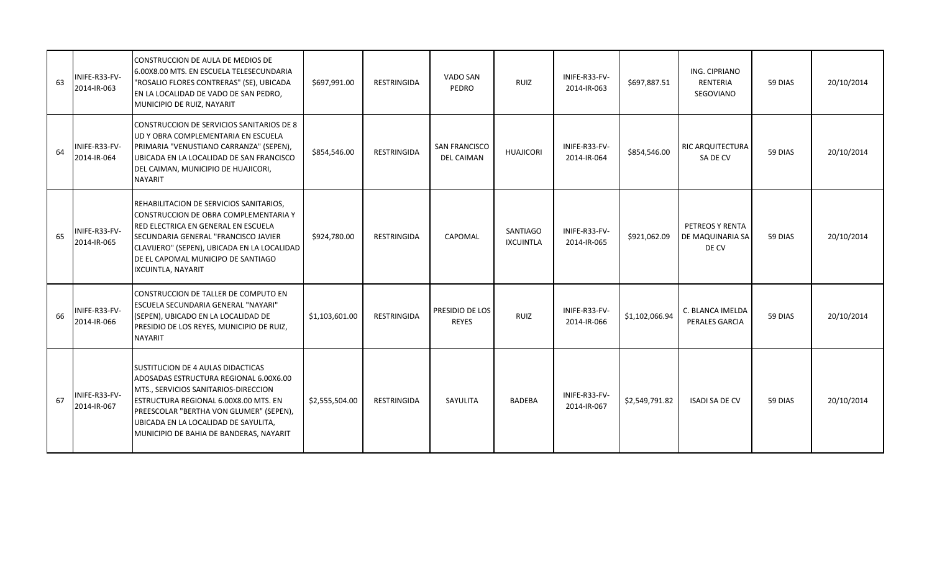| 63 | INIFE-R33-FV-<br>2014-IR-063 | CONSTRUCCION DE AULA DE MEDIOS DE<br>6.00X8.00 MTS. EN ESCUELA TELESECUNDARIA<br>"ROSALIO FLORES CONTRERAS" (SE), UBICADA<br>EN LA LOCALIDAD DE VADO DE SAN PEDRO,<br>MUNICIPIO DE RUIZ, NAYARIT                                                                                           | \$697,991.00   | <b>RESTRINGIDA</b> | VADO SAN<br>PEDRO                         | <b>RUIZ</b>                  | INIFE-R33-FV-<br>2014-IR-063 | \$697,887.51   | ING. CIPRIANO<br>RENTERIA<br>SEGOVIANO       | 59 DIAS | 20/10/2014 |
|----|------------------------------|--------------------------------------------------------------------------------------------------------------------------------------------------------------------------------------------------------------------------------------------------------------------------------------------|----------------|--------------------|-------------------------------------------|------------------------------|------------------------------|----------------|----------------------------------------------|---------|------------|
| 64 | INIFE-R33-FV-<br>2014-IR-064 | CONSTRUCCION DE SERVICIOS SANITARIOS DE 8<br>UD Y OBRA COMPLEMENTARIA EN ESCUELA<br>PRIMARIA "VENUSTIANO CARRANZA" (SEPEN),<br>UBICADA EN LA LOCALIDAD DE SAN FRANCISCO<br>DEL CAIMAN, MUNICIPIO DE HUAJICORI,<br><b>NAYARIT</b>                                                           | \$854,546.00   | RESTRINGIDA        | <b>SAN FRANCISCO</b><br><b>DEL CAIMAN</b> | <b>HUAJICORI</b>             | INIFE-R33-FV-<br>2014-IR-064 | \$854,546.00   | RIC ARQUITECTURA<br>SA DE CV                 | 59 DIAS | 20/10/2014 |
| 65 | INIFE-R33-FV-<br>2014-IR-065 | REHABILITACION DE SERVICIOS SANITARIOS,<br>CONSTRUCCION DE OBRA COMPLEMENTARIA Y<br>RED ELECTRICA EN GENERAL EN ESCUELA<br>SECUNDARIA GENERAL "FRANCISCO JAVIER<br>CLAVIJERO" (SEPEN), UBICADA EN LA LOCALIDAD<br>DE EL CAPOMAL MUNICIPO DE SANTIAGO<br>IXCUINTLA, NAYARIT                 | \$924,780.00   | <b>RESTRINGIDA</b> | CAPOMAL                                   | SANTIAGO<br><b>IXCUINTLA</b> | INIFE-R33-FV-<br>2014-IR-065 | \$921,062.09   | PETREOS Y RENTA<br>DE MAQUINARIA SA<br>DE CV | 59 DIAS | 20/10/2014 |
| 66 | INIFE-R33-FV-<br>2014-IR-066 | CONSTRUCCION DE TALLER DE COMPUTO EN<br>ESCUELA SECUNDARIA GENERAL "NAYARI"<br>(SEPEN), UBICADO EN LA LOCALIDAD DE<br>PRESIDIO DE LOS REYES, MUNICIPIO DE RUIZ,<br>NAYARIT                                                                                                                 | \$1,103,601.00 | <b>RESTRINGIDA</b> | PRESIDIO DE LOS<br><b>REYES</b>           | RUIZ                         | INIFE-R33-FV-<br>2014-IR-066 | \$1,102,066.94 | C. BLANCA IMELDA<br>PERALES GARCIA           | 59 DIAS | 20/10/2014 |
| 67 | INIFE-R33-FV-<br>2014-IR-067 | SUSTITUCION DE 4 AULAS DIDACTICAS<br>ADOSADAS ESTRUCTURA REGIONAL 6.00X6.00<br>MTS., SERVICIOS SANITARIOS-DIRECCION<br>ESTRUCTURA REGIONAL 6.00X8.00 MTS. EN<br>PREESCOLAR "BERTHA VON GLUMER" (SEPEN),<br>UBICADA EN LA LOCALIDAD DE SAYULITA,<br>MUNICIPIO DE BAHIA DE BANDERAS, NAYARIT | \$2,555,504.00 | <b>RESTRINGIDA</b> | SAYULITA                                  | <b>BADEBA</b>                | INIFE-R33-FV-<br>2014-IR-067 | \$2,549,791.82 | <b>ISADI SA DE CV</b>                        | 59 DIAS | 20/10/2014 |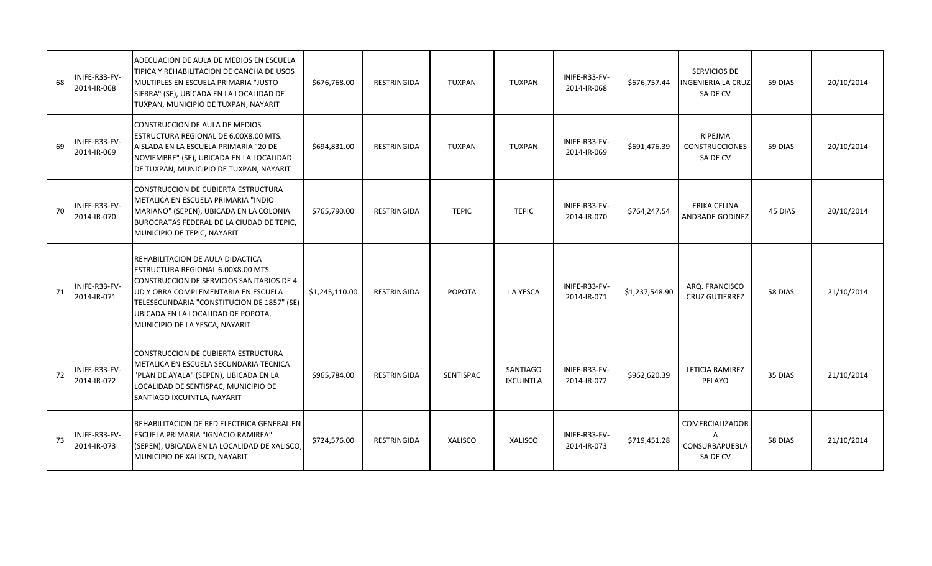| 68 | INIFE-R33-FV-<br>2014-IR-068 | ADECUACION DE AULA DE MEDIOS EN ESCUELA<br>TIPICA Y REHABILITACION DE CANCHA DE USOS<br>MULTIPLES EN ESCUELA PRIMARIA "JUSTO<br>SIERRA" (SE), UBICADA EN LA LOCALIDAD DE<br>TUXPAN, MUNICIPIO DE TUXPAN, NAYARIT                                                                 | \$676,768.00   | <b>RESTRINGIDA</b> | <b>TUXPAN</b>    | <b>TUXPAN</b>                       | INIFE-R33-FV-<br>2014-IR-068 | \$676,757.44   | SERVICIOS DE<br><b>INGENIERIA LA CRUZ</b><br>SA DE CV     | 59 DIAS | 20/10/2014 |
|----|------------------------------|----------------------------------------------------------------------------------------------------------------------------------------------------------------------------------------------------------------------------------------------------------------------------------|----------------|--------------------|------------------|-------------------------------------|------------------------------|----------------|-----------------------------------------------------------|---------|------------|
| 69 | INIFE-R33-FV-<br>2014-IR-069 | CONSTRUCCION DE AULA DE MEDIOS<br>ESTRUCTURA REGIONAL DE 6.00X8.00 MTS.<br>AISLADA EN LA ESCUELA PRIMARIA "20 DE<br>NOVIEMBRE" (SE), UBICADA EN LA LOCALIDAD<br>DE TUXPAN, MUNICIPIO DE TUXPAN, NAYARIT                                                                          | \$694,831.00   | <b>RESTRINGIDA</b> | <b>TUXPAN</b>    | <b>TUXPAN</b>                       | INIFE-R33-FV-<br>2014-IR-069 | \$691,476.39   | RIPEJMA<br><b>CONSTRUCCIONES</b><br>SA DE CV              | 59 DIAS | 20/10/2014 |
| 70 | INIFE-R33-FV-<br>2014-IR-070 | CONSTRUCCION DE CUBIERTA ESTRUCTURA<br>METALICA EN ESCUELA PRIMARIA "INDIO<br>MARIANO" (SEPEN), UBICADA EN LA COLONIA<br>BUROCRATAS FEDERAL DE LA CIUDAD DE TEPIC,<br>MUNICIPIO DE TEPIC, NAYARIT                                                                                | \$765,790.00   | RESTRINGIDA        | <b>TEPIC</b>     | <b>TEPIC</b>                        | INIFE-R33-FV-<br>2014-IR-070 | \$764,247.54   | ERIKA CELINA<br><b>ANDRADE GODINEZ</b>                    | 45 DIAS | 20/10/2014 |
| 71 | INIFE-R33-FV-<br>2014-IR-071 | REHABILITACION DE AULA DIDACTICA<br>ESTRUCTURA REGIONAL 6.00X8.00 MTS.<br>CONSTRUCCION DE SERVICIOS SANITARIOS DE 4<br>UD Y OBRA COMPLEMENTARIA EN ESCUELA<br>TELESECUNDARIA "CONSTITUCION DE 1857" (SE)<br>UBICADA EN LA LOCALIDAD DE POPOTA,<br>MUNICIPIO DE LA YESCA, NAYARIT | \$1,245,110.00 | RESTRINGIDA        | POPOTA           | <b>LA YESCA</b>                     | INIFE-R33-FV-<br>2014-IR-071 | \$1,237,548.90 | ARQ. FRANCISCO<br><b>CRUZ GUTIERREZ</b>                   | 58 DIAS | 21/10/2014 |
| 72 | INIFE-R33-FV-<br>2014-IR-072 | CONSTRUCCION DE CUBIERTA ESTRUCTURA<br>METALICA EN ESCUELA SECUNDARIA TECNICA<br>"PLAN DE AYALA" (SEPEN), UBICADA EN LA<br>LOCALIDAD DE SENTISPAC, MUNICIPIO DE<br>SANTIAGO IXCUINTLA, NAYARIT                                                                                   | \$965,784.00   | <b>RESTRINGIDA</b> | <b>SENTISPAC</b> | <b>SANTIAGO</b><br><b>IXCUINTLA</b> | INIFE-R33-FV-<br>2014-IR-072 | \$962,620.39   | LETICIA RAMIREZ<br>PELAYO                                 | 35 DIAS | 21/10/2014 |
| 73 | INIFE-R33-FV-<br>2014-IR-073 | REHABILITACION DE RED ELECTRICA GENERAL EN<br><b>ESCUELA PRIMARIA "IGNACIO RAMIREA"</b><br>(SEPEN), UBICADA EN LA LOCALIDAD DE XALISCO,<br>MUNICIPIO DE XALISCO, NAYARIT                                                                                                         | \$724,576.00   | <b>RESTRINGIDA</b> | <b>XALISCO</b>   | <b>XALISCO</b>                      | INIFE-R33-FV-<br>2014-IR-073 | \$719,451.28   | <b>COMERCIALIZADOR</b><br>A<br>CONSURBAPUEBLA<br>SA DE CV | 58 DIAS | 21/10/2014 |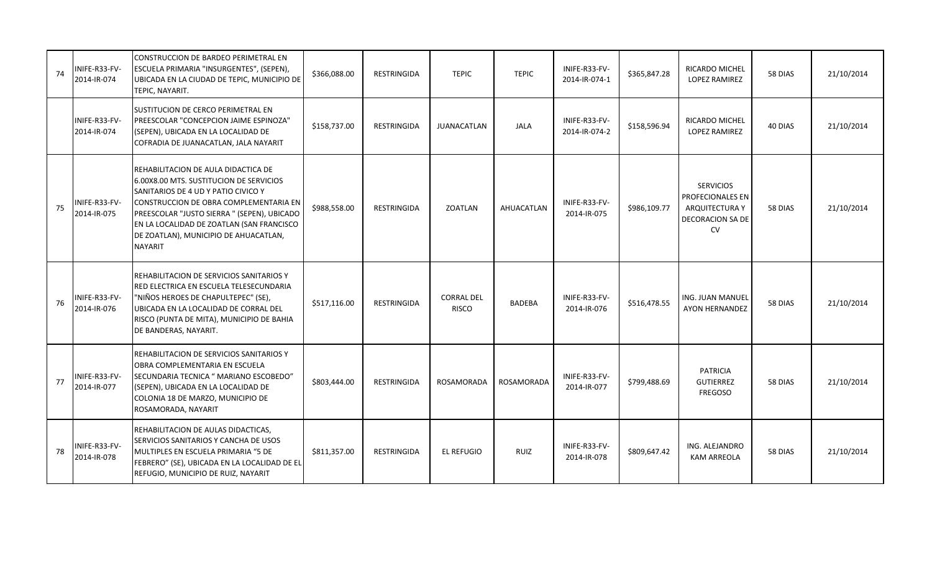| 74 | INIFE-R33-FV-<br>2014-IR-074 | CONSTRUCCION DE BARDEO PERIMETRAL EN<br>ESCUELA PRIMARIA "INSURGENTES", (SEPEN),<br>UBICADA EN LA CIUDAD DE TEPIC, MUNICIPIO DE<br>TEPIC, NAYARIT.                                                                                                                                                              | \$366,088.00 | <b>RESTRINGIDA</b> | <b>TEPIC</b>                      | <b>TEPIC</b>  | INIFE-R33-FV-<br>2014-IR-074-1 | \$365,847.28 | <b>RICARDO MICHEL</b><br><b>LOPEZ RAMIREZ</b>                                           | 58 DIAS | 21/10/2014 |
|----|------------------------------|-----------------------------------------------------------------------------------------------------------------------------------------------------------------------------------------------------------------------------------------------------------------------------------------------------------------|--------------|--------------------|-----------------------------------|---------------|--------------------------------|--------------|-----------------------------------------------------------------------------------------|---------|------------|
|    | INIFE-R33-FV-<br>2014-IR-074 | SUSTITUCION DE CERCO PERIMETRAL EN<br>PREESCOLAR "CONCEPCION JAIME ESPINOZA"<br>(SEPEN), UBICADA EN LA LOCALIDAD DE<br>COFRADIA DE JUANACATLAN, JALA NAYARIT                                                                                                                                                    | \$158,737.00 | RESTRINGIDA        | <b>JUANACATLAN</b>                | <b>JALA</b>   | INIFE-R33-FV-<br>2014-IR-074-2 | \$158,596.94 | RICARDO MICHEL<br><b>LOPEZ RAMIREZ</b>                                                  | 40 DIAS | 21/10/2014 |
| 75 | INIFE-R33-FV-<br>2014-IR-075 | REHABILITACION DE AULA DIDACTICA DE<br>6.00X8.00 MTS. SUSTITUCION DE SERVICIOS<br>SANITARIOS DE 4 UD Y PATIO CIVICO Y<br>CONSTRUCCION DE OBRA COMPLEMENTARIA EN<br>PREESCOLAR "JUSTO SIERRA " (SEPEN), UBICADO<br>EN LA LOCALIDAD DE ZOATLAN (SAN FRANCISCO<br>DE ZOATLAN), MUNICIPIO DE AHUACATLAN,<br>NAYARIT | \$988,558.00 | RESTRINGIDA        | ZOATLAN                           | AHUACATLAN    | INIFE-R33-FV-<br>2014-IR-075   | \$986,109.77 | <b>SERVICIOS</b><br>PROFECIONALES EN<br>ARQUITECTURA Y<br>DECORACION SA DE<br><b>CV</b> | 58 DIAS | 21/10/2014 |
| 76 | INIFE-R33-FV-<br>2014-IR-076 | REHABILITACION DE SERVICIOS SANITARIOS Y<br>RED ELECTRICA EN ESCUELA TELESECUNDARIA<br>"NIÑOS HEROES DE CHAPULTEPEC" (SE),<br>UBICADA EN LA LOCALIDAD DE CORRAL DEL<br>RISCO (PUNTA DE MITA), MUNICIPIO DE BAHIA<br>DE BANDERAS, NAYARIT.                                                                       | \$517,116.00 | <b>RESTRINGIDA</b> | <b>CORRAL DEL</b><br><b>RISCO</b> | <b>BADEBA</b> | INIFE-R33-FV-<br>2014-IR-076   | \$516,478.55 | ING. JUAN MANUEL<br><b>AYON HERNANDEZ</b>                                               | 58 DIAS | 21/10/2014 |
| 77 | INIFE-R33-FV-<br>2014-IR-077 | REHABILITACION DE SERVICIOS SANITARIOS Y<br>OBRA COMPLEMENTARIA EN ESCUELA<br>SECUNDARIA TECNICA " MARIANO ESCOBEDO"<br>(SEPEN), UBICADA EN LA LOCALIDAD DE<br>COLONIA 18 DE MARZO, MUNICIPIO DE<br>ROSAMORADA, NAYARIT                                                                                         | \$803,444.00 | RESTRINGIDA        | <b>ROSAMORADA</b>                 | ROSAMORADA    | INIFE-R33-FV-<br>2014-IR-077   | \$799,488.69 | <b>PATRICIA</b><br><b>GUTIERREZ</b><br><b>FREGOSO</b>                                   | 58 DIAS | 21/10/2014 |
| 78 | INIFE-R33-FV-<br>2014-IR-078 | REHABILITACION DE AULAS DIDACTICAS,<br>SERVICIOS SANITARIOS Y CANCHA DE USOS<br>MULTIPLES EN ESCUELA PRIMARIA "5 DE<br>FEBRERO" (SE), UBICADA EN LA LOCALIDAD DE EL<br>REFUGIO, MUNICIPIO DE RUIZ, NAYARIT                                                                                                      | \$811,357.00 | RESTRINGIDA        | <b>EL REFUGIO</b>                 | RUIZ          | INIFE-R33-FV-<br>2014-IR-078   | \$809,647.42 | ING. ALEJANDRO<br><b>KAM ARREOLA</b>                                                    | 58 DIAS | 21/10/2014 |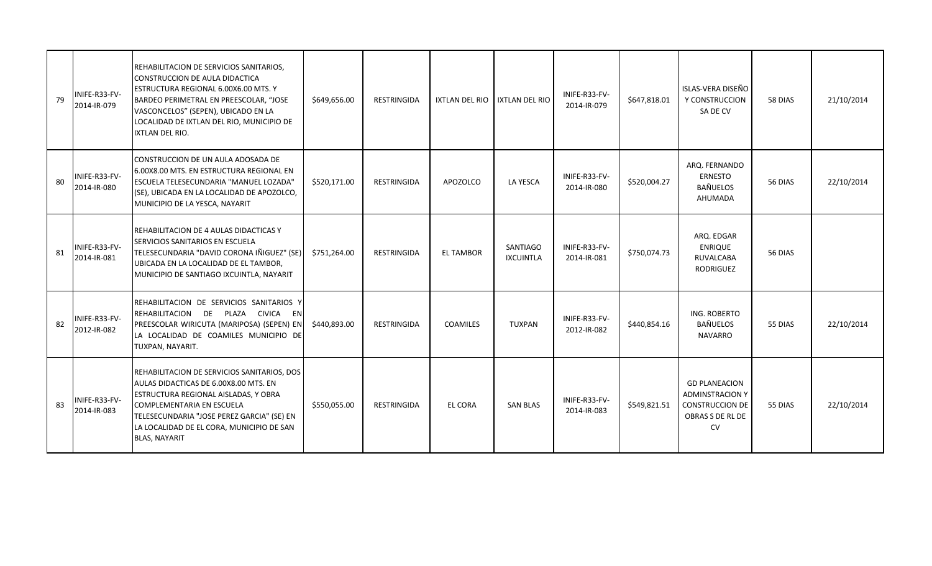| 79 | INIFE-R33-FV-<br>2014-IR-079 | REHABILITACION DE SERVICIOS SANITARIOS,<br>CONSTRUCCION DE AULA DIDACTICA<br>ESTRUCTURA REGIONAL 6.00X6.00 MTS. Y<br>BARDEO PERIMETRAL EN PREESCOLAR, "JOSE<br>VASCONCELOS" (SEPEN), UBICADO EN LA<br>LOCALIDAD DE IXTLAN DEL RIO, MUNICIPIO DE<br><b>IXTLAN DEL RIO.</b>           | \$649,656.00 | RESTRINGIDA        | IXTLAN DEL RIO   | <b>IXTLAN DEL RIO</b>        | INIFE-R33-FV-<br>2014-IR-079 | \$647,818.01 | ISLAS-VERA DISEÑO<br>Y CONSTRUCCION<br>SA DE CV                                                           | 58 DIAS | 21/10/2014 |
|----|------------------------------|-------------------------------------------------------------------------------------------------------------------------------------------------------------------------------------------------------------------------------------------------------------------------------------|--------------|--------------------|------------------|------------------------------|------------------------------|--------------|-----------------------------------------------------------------------------------------------------------|---------|------------|
| 80 | INIFE-R33-FV-<br>2014-IR-080 | CONSTRUCCION DE UN AULA ADOSADA DE<br>6.00X8.00 MTS. EN ESTRUCTURA REGIONAL EN<br>ESCUELA TELESECUNDARIA "MANUEL LOZADA"<br>(SE), UBICADA EN LA LOCALIDAD DE APOZOLCO,<br>MUNICIPIO DE LA YESCA, NAYARIT                                                                            | \$520,171.00 | <b>RESTRINGIDA</b> | APOZOLCO         | LA YESCA                     | INIFE-R33-FV-<br>2014-IR-080 | \$520,004.27 | ARQ. FERNANDO<br><b>ERNESTO</b><br><b>BAÑUELOS</b><br>AHUMADA                                             | 56 DIAS | 22/10/2014 |
| 81 | INIFE-R33-FV-<br>2014-IR-081 | REHABILITACION DE 4 AULAS DIDACTICAS Y<br>SERVICIOS SANITARIOS EN ESCUELA<br>TELESECUNDARIA "DAVID CORONA IÑIGUEZ" (SE)<br>UBICADA EN LA LOCALIDAD DE EL TAMBOR,<br>MUNICIPIO DE SANTIAGO IXCUINTLA, NAYARIT                                                                        | \$751,264.00 | <b>RESTRINGIDA</b> | <b>EL TAMBOR</b> | SANTIAGO<br><b>IXCUINTLA</b> | INIFE-R33-FV-<br>2014-IR-081 | \$750,074.73 | ARQ. EDGAR<br>ENRIQUE<br><b>RUVALCABA</b><br><b>RODRIGUEZ</b>                                             | 56 DIAS |            |
| 82 | INIFE-R33-FV-<br>2012-IR-082 | REHABILITACION DE SERVICIOS SANITARIOS Y<br>REHABILITACION DE PLAZA CIVICA EN<br>PREESCOLAR WIRICUTA (MARIPOSA) (SEPEN) EN<br>LA LOCALIDAD DE COAMILES MUNICIPIO DE<br>TUXPAN, NAYARIT.                                                                                             | \$440,893.00 | <b>RESTRINGIDA</b> | <b>COAMILES</b>  | <b>TUXPAN</b>                | INIFE-R33-FV-<br>2012-IR-082 | \$440,854.16 | ING. ROBERTO<br>BAÑUELOS<br>NAVARRO                                                                       | 55 DIAS | 22/10/2014 |
| 83 | INIFE-R33-FV-<br>2014-IR-083 | REHABILITACION DE SERVICIOS SANITARIOS, DOS<br>AULAS DIDACTICAS DE 6.00X8.00 MTS. EN<br>ESTRUCTURA REGIONAL AISLADAS, Y OBRA<br><b>COMPLEMENTARIA EN ESCUELA</b><br>TELESECUNDARIA "JOSE PEREZ GARCIA" (SE) EN<br>LA LOCALIDAD DE EL CORA, MUNICIPIO DE SAN<br><b>BLAS, NAYARIT</b> | \$550,055.00 | <b>RESTRINGIDA</b> | <b>EL CORA</b>   | <b>SAN BLAS</b>              | INIFE-R33-FV-<br>2014-IR-083 | \$549,821.51 | <b>GD PLANEACION</b><br><b>ADMINSTRACION Y</b><br><b>CONSTRUCCION DE</b><br>OBRAS S DE RL DE<br><b>CV</b> | 55 DIAS | 22/10/2014 |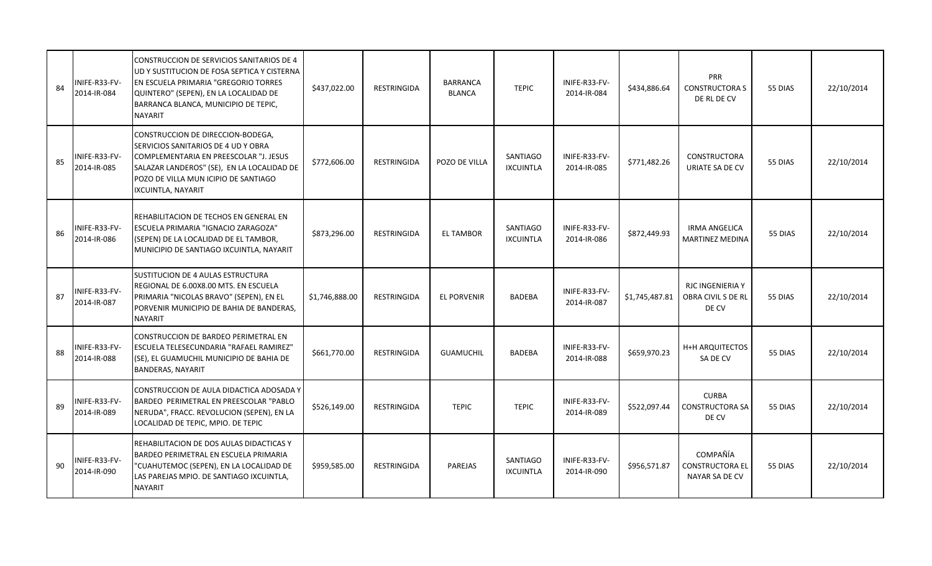| 84 | INIFE-R33-FV-<br>2014-IR-084 | CONSTRUCCION DE SERVICIOS SANITARIOS DE 4<br>UD Y SUSTITUCION DE FOSA SEPTICA Y CISTERNA<br><b>EN ESCUELA PRIMARIA "GREGORIO TORRES</b><br>QUINTERO" (SEPEN), EN LA LOCALIDAD DE<br>BARRANCA BLANCA, MUNICIPIO DE TEPIC,<br><b>NAYARIT</b> | \$437,022.00   | RESTRINGIDA        | <b>BARRANCA</b><br><b>BLANCA</b> | <b>TEPIC</b>                        | INIFE-R33-FV-<br>2014-IR-084 | \$434,886.64   | <b>PRR</b><br><b>CONSTRUCTORA S</b><br>DE RL DE CV     | 55 DIAS | 22/10/2014 |
|----|------------------------------|--------------------------------------------------------------------------------------------------------------------------------------------------------------------------------------------------------------------------------------------|----------------|--------------------|----------------------------------|-------------------------------------|------------------------------|----------------|--------------------------------------------------------|---------|------------|
| 85 | INIFE-R33-FV-<br>2014-IR-085 | CONSTRUCCION DE DIRECCION-BODEGA,<br>SERVICIOS SANITARIOS DE 4 UD Y OBRA<br>COMPLEMENTARIA EN PREESCOLAR "J. JESUS<br>SALAZAR LANDEROS" (SE), EN LA LOCALIDAD DE<br>POZO DE VILLA MUN ICIPIO DE SANTIAGO<br>IXCUINTLA, NAYARIT             | \$772,606.00   | <b>RESTRINGIDA</b> | POZO DE VILLA                    | <b>SANTIAGO</b><br><b>IXCUINTLA</b> | INIFE-R33-FV-<br>2014-IR-085 | \$771,482.26   | <b>CONSTRUCTORA</b><br>URIATE SA DE CV                 | 55 DIAS | 22/10/2014 |
| 86 | INIFE-R33-FV-<br>2014-IR-086 | REHABILITACION DE TECHOS EN GENERAL EN<br><b>ESCUELA PRIMARIA "IGNACIO ZARAGOZA"</b><br>(SEPEN) DE LA LOCALIDAD DE EL TAMBOR,<br>MUNICIPIO DE SANTIAGO IXCUINTLA, NAYARIT                                                                  | \$873,296.00   | RESTRINGIDA        | <b>EL TAMBOR</b>                 | SANTIAGO<br><b>IXCUINTLA</b>        | INIFE-R33-FV-<br>2014-IR-086 | \$872,449.93   | <b>IRMA ANGELICA</b><br><b>MARTINEZ MEDINA</b>         | 55 DIAS | 22/10/2014 |
| 87 | INIFE-R33-FV-<br>2014-IR-087 | SUSTITUCION DE 4 AULAS ESTRUCTURA<br>REGIONAL DE 6.00X8.00 MTS. EN ESCUELA<br>PRIMARIA "NICOLAS BRAVO" (SEPEN), EN EL<br>PORVENIR MUNICIPIO DE BAHIA DE BANDERAS.<br><b>NAYARIT</b>                                                        | \$1,746,888.00 | RESTRINGIDA        | <b>EL PORVENIR</b>               | <b>BADEBA</b>                       | INIFE-R33-FV-<br>2014-IR-087 | \$1,745,487.81 | <b>RJC INGENIERIA Y</b><br>OBRA CIVIL S DE RL<br>DE CV | 55 DIAS | 22/10/2014 |
| 88 | INIFE-R33-FV-<br>2014-IR-088 | CONSTRUCCION DE BARDEO PERIMETRAL EN<br>ESCUELA TELESECUNDARIA "RAFAEL RAMIREZ"<br>(SE), EL GUAMUCHIL MUNICIPIO DE BAHIA DE<br><b>BANDERAS, NAYARIT</b>                                                                                    | \$661,770.00   | <b>RESTRINGIDA</b> | <b>GUAMUCHIL</b>                 | <b>BADEBA</b>                       | INIFE-R33-FV-<br>2014-IR-088 | \$659,970.23   | <b>H+H ARQUITECTOS</b><br>SA DE CV                     | 55 DIAS | 22/10/2014 |
| 89 | INIFE-R33-FV-<br>2014-IR-089 | CONSTRUCCION DE AULA DIDACTICA ADOSADA Y<br>BARDEO PERIMETRAL EN PREESCOLAR "PABLO<br>NERUDA", FRACC. REVOLUCION (SEPEN), EN LA<br>LOCALIDAD DE TEPIC, MPIO. DE TEPIC                                                                      | \$526,149.00   | <b>RESTRINGIDA</b> | <b>TEPIC</b>                     | <b>TEPIC</b>                        | INIFE-R33-FV-<br>2014-IR-089 | \$522,097.44   | <b>CURBA</b><br><b>CONSTRUCTORA SA</b><br>DE CV        | 55 DIAS | 22/10/2014 |
| 90 | INIFE-R33-FV-<br>2014-IR-090 | REHABILITACION DE DOS AULAS DIDACTICAS Y<br>BARDEO PERIMETRAL EN ESCUELA PRIMARIA<br>"CUAHUTEMOC (SEPEN), EN LA LOCALIDAD DE<br>LAS PAREJAS MPIO. DE SANTIAGO IXCUINTLA,<br><b>NAYARIT</b>                                                 | \$959,585.00   | RESTRINGIDA        | <b>PAREJAS</b>                   | <b>SANTIAGO</b><br><b>IXCUINTLA</b> | INIFE-R33-FV-<br>2014-IR-090 | \$956,571.87   | COMPAÑÍA<br><b>CONSTRUCTORA EL</b><br>NAYAR SA DE CV   | 55 DIAS | 22/10/2014 |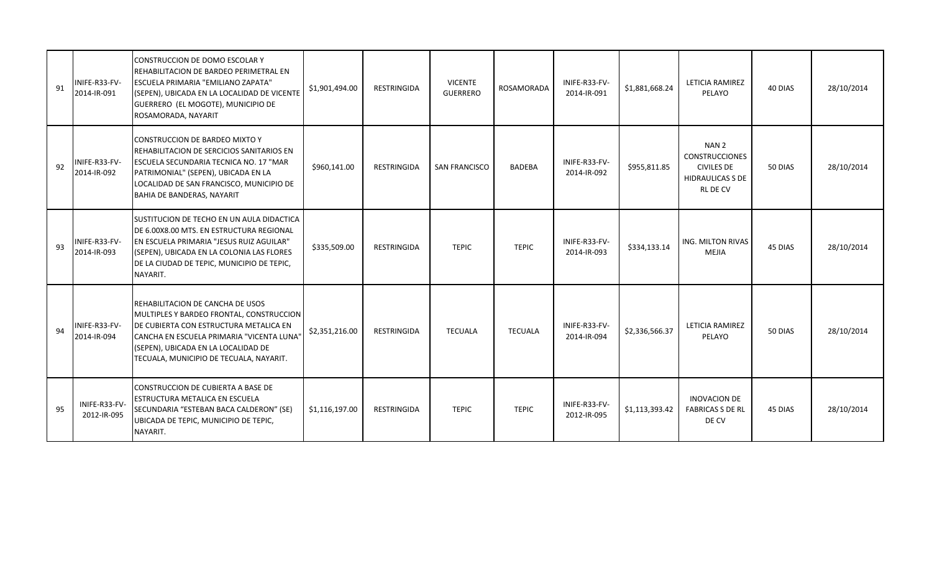| 91 | NIFE-R33-FV-<br>2014-IR-091  | CONSTRUCCION DE DOMO ESCOLAR Y<br>REHABILITACION DE BARDEO PERIMETRAL EN<br><b>ESCUELA PRIMARIA "EMILIANO ZAPATA"</b><br>(SEPEN), UBICADA EN LA LOCALIDAD DE VICENTE<br>GUERRERO (EL MOGOTE), MUNICIPIO DE<br>ROSAMORADA, NAYARIT                     | \$1,901,494.00 | <b>RESTRINGIDA</b> | <b>VICENTE</b><br><b>GUERRERO</b> | <b>ROSAMORADA</b> | INIFE-R33-FV-<br>2014-IR-091 | \$1,881,668.24 | LETICIA RAMIREZ<br>PELAYO                                                                                    | 40 DIAS | 28/10/2014 |
|----|------------------------------|-------------------------------------------------------------------------------------------------------------------------------------------------------------------------------------------------------------------------------------------------------|----------------|--------------------|-----------------------------------|-------------------|------------------------------|----------------|--------------------------------------------------------------------------------------------------------------|---------|------------|
| 92 | INIFE-R33-FV-<br>2014-IR-092 | CONSTRUCCION DE BARDEO MIXTO Y<br>REHABILITACION DE SERCICIOS SANITARIOS EN<br>ESCUELA SECUNDARIA TECNICA NO. 17 "MAR<br>PATRIMONIAL" (SEPEN), UBICADA EN LA<br>LOCALIDAD DE SAN FRANCISCO, MUNICIPIO DE<br>BAHIA DE BANDERAS, NAYARIT                | \$960,141.00   | RESTRINGIDA        | <b>SAN FRANCISCO</b>              | <b>BADEBA</b>     | INIFE-R33-FV-<br>2014-IR-092 | \$955,811.85   | NAN <sub>2</sub><br><b>CONSTRUCCIONES</b><br><b>CIVILES DE</b><br><b>HIDRAULICAS S DE</b><br><b>RL DE CV</b> | 50 DIAS | 28/10/2014 |
| 93 | INIFE-R33-FV-<br>2014-IR-093 | SUSTITUCION DE TECHO EN UN AULA DIDACTICA<br>DE 6.00X8.00 MTS. EN ESTRUCTURA REGIONAL<br>EN ESCUELA PRIMARIA "JESUS RUIZ AGUILAR"<br>(SEPEN), UBICADA EN LA COLONIA LAS FLORES<br>DE LA CIUDAD DE TEPIC, MUNICIPIO DE TEPIC,<br>NAYARIT.              | \$335,509.00   | RESTRINGIDA        | <b>TEPIC</b>                      | <b>TEPIC</b>      | INIFE-R33-FV-<br>2014-IR-093 | \$334,133.14   | <b>ING. MILTON RIVAS</b><br><b>MEJIA</b>                                                                     | 45 DIAS | 28/10/2014 |
| 94 | NIFE-R33-FV-<br>2014-IR-094  | REHABILITACION DE CANCHA DE USOS<br>MULTIPLES Y BARDEO FRONTAL, CONSTRUCCION<br>DE CUBIERTA CON ESTRUCTURA METALICA EN<br>CANCHA EN ESCUELA PRIMARIA "VICENTA LUNA"<br>(SEPEN), UBICADA EN LA LOCALIDAD DE<br>TECUALA, MUNICIPIO DE TECUALA, NAYARIT. | \$2,351,216.00 | RESTRINGIDA        | <b>TECUALA</b>                    | <b>TECUALA</b>    | INIFE-R33-FV-<br>2014-IR-094 | \$2,336,566.37 | LETICIA RAMIREZ<br>PELAYO                                                                                    | 50 DIAS | 28/10/2014 |
| 95 | INIFE-R33-FV-<br>2012-IR-095 | <b>CONSTRUCCION DE CUBIERTA A BASE DE</b><br>ESTRUCTURA METALICA EN ESCUELA<br>SECUNDARIA "ESTEBAN BACA CALDERON" (SE)<br>UBICADA DE TEPIC, MUNICIPIO DE TEPIC,<br>NAYARIT.                                                                           | \$1,116,197.00 | RESTRINGIDA        | <b>TEPIC</b>                      | <b>TEPIC</b>      | INIFE-R33-FV-<br>2012-IR-095 | \$1,113,393.42 | <b>INOVACION DE</b><br><b>FABRICAS S DE RL</b><br>DE CV                                                      | 45 DIAS | 28/10/2014 |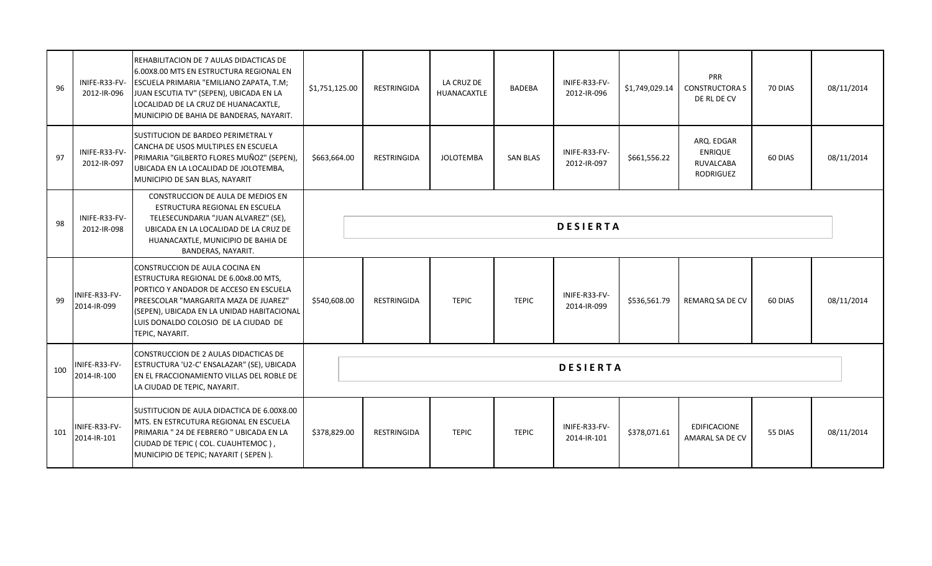| 96  | INIFE-R33-FV-<br>2012-IR-096 | REHABILITACION DE 7 AULAS DIDACTICAS DE<br>6.00X8.00 MTS EN ESTRUCTURA REGIONAL EN<br>ESCUELA PRIMARIA "EMILIANO ZAPATA, T.M;<br>JUAN ESCUTIA TV" (SEPEN), UBICADA EN LA<br>LOCALIDAD DE LA CRUZ DE HUANACAXTLE,<br>MUNICIPIO DE BAHIA DE BANDERAS, NAYARIT.        | \$1,751,125.00 | RESTRINGIDA        | LA CRUZ DE<br><b>HUANACAXTLE</b> | <b>BADEBA</b>   | INIFE-R33-FV-<br>2012-IR-096 | \$1,749,029.14 | <b>PRR</b><br><b>CONSTRUCTORA S</b><br>DE RL DE CV                   | 70 DIAS | 08/11/2014 |
|-----|------------------------------|---------------------------------------------------------------------------------------------------------------------------------------------------------------------------------------------------------------------------------------------------------------------|----------------|--------------------|----------------------------------|-----------------|------------------------------|----------------|----------------------------------------------------------------------|---------|------------|
| 97  | INIFE-R33-FV-<br>2012-IR-097 | SUSTITUCION DE BARDEO PERIMETRAL Y<br>CANCHA DE USOS MULTIPLES EN ESCUELA<br>PRIMARIA "GILBERTO FLORES MUÑOZ" (SEPEN),<br>UBICADA EN LA LOCALIDAD DE JOLOTEMBA,<br>MUNICIPIO DE SAN BLAS, NAYARIT                                                                   | \$663,664.00   | <b>RESTRINGIDA</b> | <b>JOLOTEMBA</b>                 | <b>SAN BLAS</b> | INIFE-R33-FV-<br>2012-IR-097 | \$661,556.22   | ARQ. EDGAR<br><b>ENRIQUE</b><br><b>RUVALCABA</b><br><b>RODRIGUEZ</b> | 60 DIAS | 08/11/2014 |
| 98  | INIFE-R33-FV-<br>2012-IR-098 | CONSTRUCCION DE AULA DE MEDIOS EN<br>ESTRUCTURA REGIONAL EN ESCUELA<br>TELESECUNDARIA "JUAN ALVAREZ" (SE),<br>UBICADA EN LA LOCALIDAD DE LA CRUZ DE<br>HUANACAXTLE, MUNICIPIO DE BAHIA DE<br>BANDERAS, NAYARIT.                                                     |                |                    |                                  |                 | <b>DESIERTA</b>              |                |                                                                      |         |            |
| 99  | INIFE-R33-FV-<br>2014-IR-099 | CONSTRUCCION DE AULA COCINA EN<br>ESTRUCTURA REGIONAL DE 6.00x8.00 MTS,<br>PORTICO Y ANDADOR DE ACCESO EN ESCUELA<br>PREESCOLAR "MARGARITA MAZA DE JUAREZ"<br>(SEPEN), UBICADA EN LA UNIDAD HABITACIONAL<br>LUIS DONALDO COLOSIO DE LA CIUDAD DE<br>TEPIC, NAYARIT. | \$540,608.00   | RESTRINGIDA        | <b>TEPIC</b>                     | <b>TEPIC</b>    | INIFE-R33-FV-<br>2014-IR-099 | \$536,561.79   | REMARQ SA DE CV                                                      | 60 DIAS | 08/11/2014 |
| 100 | INIFE-R33-FV-<br>2014-IR-100 | CONSTRUCCION DE 2 AULAS DIDACTICAS DE<br>ESTRUCTURA 'U2-C' ENSALAZAR" (SE), UBICADA<br>EN EL FRACCIONAMIENTO VILLAS DEL ROBLE DE<br>LA CIUDAD DE TEPIC, NAYARIT.                                                                                                    |                |                    |                                  |                 | <b>DESIERTA</b>              |                |                                                                      |         |            |
| 101 | INIFE-R33-FV-<br>2014-IR-101 | SUSTITUCION DE AULA DIDACTICA DE 6.00X8.00<br>MTS. EN ESTRCUTURA REGIONAL EN ESCUELA<br>PRIMARIA " 24 DE FEBRERO " UBICADA EN LA<br>CIUDAD DE TEPIC (COL. CUAUHTEMOC),                                                                                              | \$378,829.00   | <b>RESTRINGIDA</b> | <b>TEPIC</b>                     | <b>TEPIC</b>    | INIFE-R33-FV-<br>2014-IR-101 | \$378,071.61   | <b>EDIFICACIONE</b><br><b>AMARAL SA DE CV</b>                        | 55 DIAS | 08/11/2014 |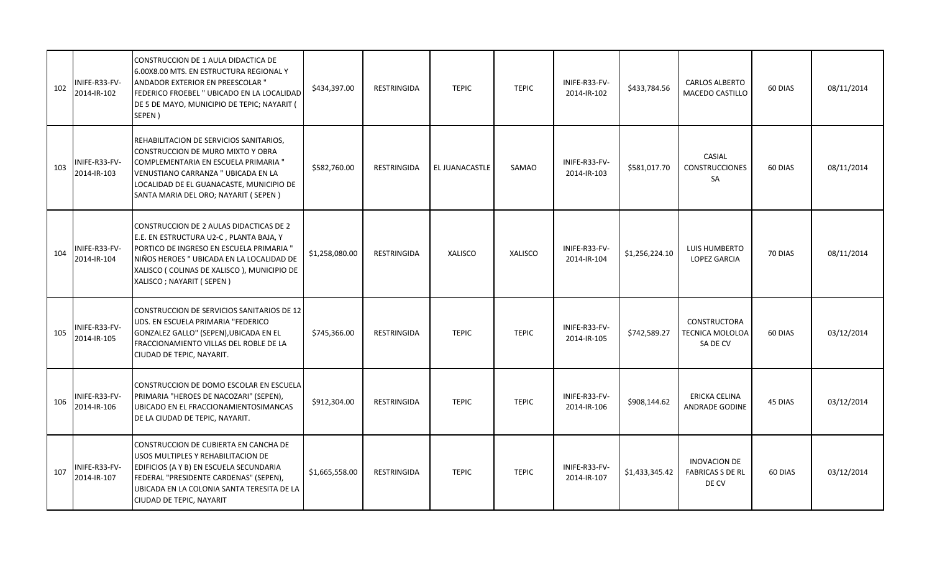| 102 | INIFE-R33-FV-<br>2014-IR-102 | CONSTRUCCION DE 1 AULA DIDACTICA DE<br>6.00X8.00 MTS. EN ESTRUCTURA REGIONAL Y<br>ANDADOR EXTERIOR EN PREESCOLAR "<br>FEDERICO FROEBEL " UBICADO EN LA LOCALIDAD<br>DE 5 DE MAYO, MUNICIPIO DE TEPIC; NAYARIT (<br>SEPEN)                               | \$434,397.00   | RESTRINGIDA        | <b>TEPIC</b>   | <b>TEPIC</b>   | INIFE-R33-FV-<br>2014-IR-102 | \$433,784.56   | <b>CARLOS ALBERTO</b><br>MACEDO CASTILLO                | 60 DIAS | 08/11/2014 |
|-----|------------------------------|---------------------------------------------------------------------------------------------------------------------------------------------------------------------------------------------------------------------------------------------------------|----------------|--------------------|----------------|----------------|------------------------------|----------------|---------------------------------------------------------|---------|------------|
| 103 | INIFE-R33-FV-<br>2014-IR-103 | REHABILITACION DE SERVICIOS SANITARIOS,<br>CONSTRUCCION DE MURO MIXTO Y OBRA<br>COMPLEMENTARIA EN ESCUELA PRIMARIA "<br>VENUSTIANO CARRANZA " UBICADA EN LA<br>LOCALIDAD DE EL GUANACASTE, MUNICIPIO DE<br>SANTA MARIA DEL ORO; NAYARIT (SEPEN)         | \$582,760.00   | RESTRINGIDA        | EL JUANACASTLE | SAMAO          | INIFE-R33-FV-<br>2014-IR-103 | \$581,017.70   | CASIAL<br><b>CONSTRUCCIONES</b><br>SA                   | 60 DIAS | 08/11/2014 |
| 104 | INIFE-R33-FV-<br>2014-IR-104 | CONSTRUCCION DE 2 AULAS DIDACTICAS DE 2<br>E.E. EN ESTRUCTURA U2-C, PLANTA BAJA, Y<br>PORTICO DE INGRESO EN ESCUELA PRIMARIA "<br>NIÑOS HEROES " UBICADA EN LA LOCALIDAD DE<br>XALISCO ( COLINAS DE XALISCO ), MUNICIPIO DE<br>XALISCO; NAYARIT (SEPEN) | \$1,258,080.00 | RESTRINGIDA        | <b>XALISCO</b> | <b>XALISCO</b> | INIFE-R33-FV-<br>2014-IR-104 | \$1,256,224.10 | LUIS HUMBERTO<br><b>LOPEZ GARCIA</b>                    | 70 DIAS | 08/11/2014 |
| 105 | INIFE-R33-FV-<br>2014-IR-105 | CONSTRUCCION DE SERVICIOS SANITARIOS DE 12<br>UDS. EN ESCUELA PRIMARIA "FEDERICO<br>GONZALEZ GALLO" (SEPEN), UBICADA EN EL<br>FRACCIONAMIENTO VILLAS DEL ROBLE DE LA<br>CIUDAD DE TEPIC, NAYARIT.                                                       | \$745,366.00   | RESTRINGIDA        | <b>TEPIC</b>   | <b>TEPIC</b>   | INIFE-R33-FV-<br>2014-IR-105 | \$742,589.27   | <b>CONSTRUCTORA</b><br>TECNICA MOLOLOA<br>SA DE CV      | 60 DIAS | 03/12/2014 |
| 106 | INIFE-R33-FV-<br>2014-IR-106 | CONSTRUCCION DE DOMO ESCOLAR EN ESCUELA<br>PRIMARIA "HEROES DE NACOZARI" (SEPEN),<br>UBICADO EN EL FRACCIONAMIENTOSIMANCAS<br>DE LA CIUDAD DE TEPIC, NAYARIT.                                                                                           | \$912,304.00   | RESTRINGIDA        | <b>TEPIC</b>   | <b>TEPIC</b>   | INIFE-R33-FV-<br>2014-IR-106 | \$908,144.62   | ERICKA CELINA<br><b>ANDRADE GODINE</b>                  | 45 DIAS | 03/12/2014 |
| 107 | INIFE-R33-FV-<br>2014-IR-107 | CONSTRUCCION DE CUBIERTA EN CANCHA DE<br>USOS MULTIPLES Y REHABILITACION DE<br>EDIFICIOS (A Y B) EN ESCUELA SECUNDARIA<br>FEDERAL "PRESIDENTE CARDENAS" (SEPEN),<br>UBICADA EN LA COLONIA SANTA TERESITA DE LA<br>CIUDAD DE TEPIC, NAYARIT              | \$1,665,558.00 | <b>RESTRINGIDA</b> | <b>TEPIC</b>   | <b>TEPIC</b>   | INIFE-R33-FV-<br>2014-IR-107 | \$1,433,345.42 | <b>INOVACION DE</b><br><b>FABRICAS S DE RL</b><br>DE CV | 60 DIAS | 03/12/2014 |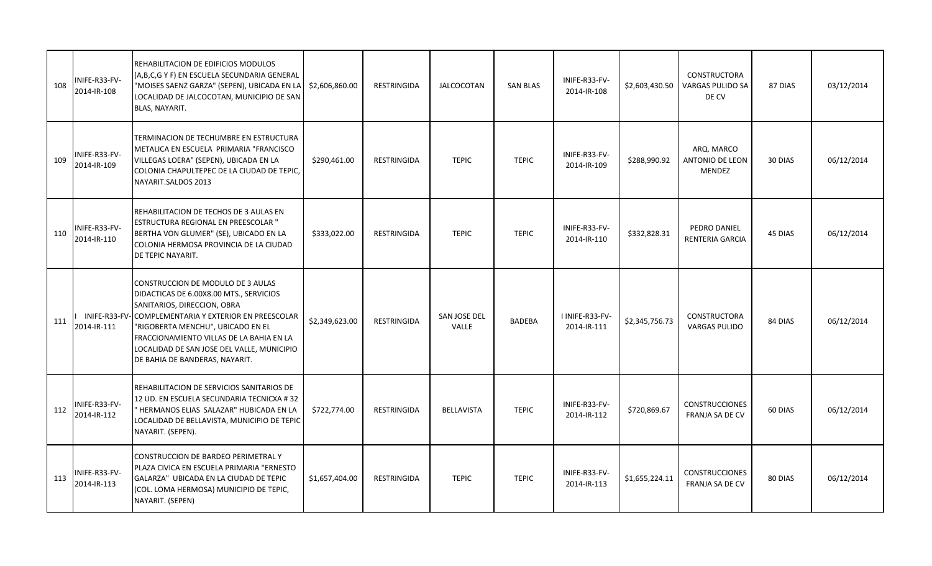| 108 | INIFE-R33-FV-<br>2014-IR-108 | REHABILITACION DE EDIFICIOS MODULOS<br>(A,B,C,G Y F) EN ESCUELA SECUNDARIA GENERAL<br>"MOISES SAENZ GARZA" (SEPEN), UBICADA EN LA<br>LOCALIDAD DE JALCOCOTAN, MUNICIPIO DE SAN<br>BLAS, NAYARIT.                                                                                                                                     | \$2,606,860.00 | <b>RESTRINGIDA</b> | <b>JALCOCOTAN</b>     | <b>SAN BLAS</b> | INIFE-R33-FV-<br>2014-IR-108   | \$2,603,430.50 | <b>CONSTRUCTORA</b><br><b>VARGAS PULIDO SA</b><br>DE CV | 87 DIAS | 03/12/2014 |
|-----|------------------------------|--------------------------------------------------------------------------------------------------------------------------------------------------------------------------------------------------------------------------------------------------------------------------------------------------------------------------------------|----------------|--------------------|-----------------------|-----------------|--------------------------------|----------------|---------------------------------------------------------|---------|------------|
| 109 | INIFE-R33-FV-<br>2014-IR-109 | TERMINACION DE TECHUMBRE EN ESTRUCTURA<br>METALICA EN ESCUELA PRIMARIA "FRANCISCO<br>VILLEGAS LOERA" (SEPEN), UBICADA EN LA<br>COLONIA CHAPULTEPEC DE LA CIUDAD DE TEPIC,<br>NAYARIT.SALDOS 2013                                                                                                                                     | \$290,461.00   | <b>RESTRINGIDA</b> | <b>TEPIC</b>          | <b>TEPIC</b>    | INIFE-R33-FV-<br>2014-IR-109   | \$288,990.92   | ARQ. MARCO<br><b>ANTONIO DE LEON</b><br><b>MENDEZ</b>   | 30 DIAS | 06/12/2014 |
| 110 | INIFE-R33-FV-<br>2014-IR-110 | REHABILITACION DE TECHOS DE 3 AULAS EN<br>ESTRUCTURA REGIONAL EN PREESCOLAR "<br>BERTHA VON GLUMER" (SE), UBICADO EN LA<br>COLONIA HERMOSA PROVINCIA DE LA CIUDAD<br>DE TEPIC NAYARIT.                                                                                                                                               | \$333,022.00   | RESTRINGIDA        | <b>TEPIC</b>          | <b>TEPIC</b>    | INIFE-R33-FV-<br>2014-IR-110   | \$332,828.31   | PEDRO DANIEL<br><b>RENTERIA GARCIA</b>                  | 45 DIAS | 06/12/2014 |
| 111 | 2014-IR-111                  | CONSTRUCCION DE MODULO DE 3 AULAS<br>DIDACTICAS DE 6.00X8.00 MTS., SERVICIOS<br>SANITARIOS, DIRECCION, OBRA<br>INIFE-R33-FV-COMPLEMENTARIA Y EXTERIOR EN PREESCOLAR<br>"RIGOBERTA MENCHU", UBICADO EN EL<br>FRACCIONAMIENTO VILLAS DE LA BAHIA EN LA<br>LOCALIDAD DE SAN JOSE DEL VALLE, MUNICIPIO<br>DE BAHIA DE BANDERAS, NAYARIT. | \$2,349,623.00 | <b>RESTRINGIDA</b> | SAN JOSE DEL<br>VALLE | <b>BADEBA</b>   | I INIFE-R33-FV-<br>2014-IR-111 | \$2,345,756.73 | <b>CONSTRUCTORA</b><br><b>VARGAS PULIDO</b>             | 84 DIAS | 06/12/2014 |
| 112 | INIFE-R33-FV-<br>2014-IR-112 | REHABILITACION DE SERVICIOS SANITARIOS DE<br>12 UD. EN ESCUELA SECUNDARIA TECNICXA #32<br>HERMANOS ELIAS SALAZAR" HUBICADA EN LA<br>LOCALIDAD DE BELLAVISTA, MUNICIPIO DE TEPIC<br>NAYARIT. (SEPEN).                                                                                                                                 | \$722,774.00   | RESTRINGIDA        | <b>BELLAVISTA</b>     | <b>TEPIC</b>    | INIFE-R33-FV-<br>2014-IR-112   | \$720,869.67   | <b>CONSTRUCCIONES</b><br>FRANJA SA DE CV                | 60 DIAS | 06/12/2014 |
| 113 | INIFE-R33-FV-<br>2014-IR-113 | CONSTRUCCION DE BARDEO PERIMETRAL Y<br>PLAZA CIVICA EN ESCUELA PRIMARIA "ERNESTO<br>GALARZA" UBICADA EN LA CIUDAD DE TEPIC<br>(COL. LOMA HERMOSA) MUNICIPIO DE TEPIC,<br>NAYARIT. (SEPEN)                                                                                                                                            | \$1,657,404.00 | <b>RESTRINGIDA</b> | <b>TEPIC</b>          | <b>TEPIC</b>    | INIFE-R33-FV-<br>2014-IR-113   | \$1,655,224.11 | <b>CONSTRUCCIONES</b><br>FRANJA SA DE CV                | 80 DIAS | 06/12/2014 |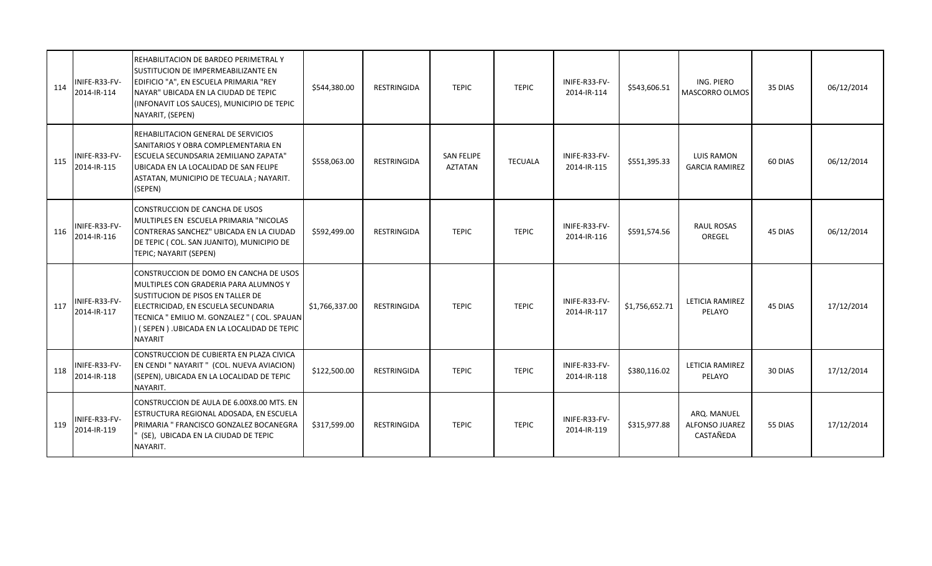| 114 | INIFE-R33-FV-<br>2014-IR-114 | REHABILITACION DE BARDEO PERIMETRAL Y<br>SUSTITUCION DE IMPERMEABILIZANTE EN<br>EDIFICIO "A", EN ESCUELA PRIMARIA "REY<br>NAYAR" UBICADA EN LA CIUDAD DE TEPIC<br>(INFONAVIT LOS SAUCES), MUNICIPIO DE TEPIC<br>NAYARIT, (SEPEN)                                          | \$544,380.00   | RESTRINGIDA        | <b>TEPIC</b>                 | <b>TEPIC</b>   | INIFE-R33-FV-<br>2014-IR-114 | \$543,606.51   | ING. PIERO<br><b>MASCORRO OLMOS</b>        | 35 DIAS | 06/12/2014 |
|-----|------------------------------|---------------------------------------------------------------------------------------------------------------------------------------------------------------------------------------------------------------------------------------------------------------------------|----------------|--------------------|------------------------------|----------------|------------------------------|----------------|--------------------------------------------|---------|------------|
| 115 | INIFE-R33-FV-<br>2014-IR-115 | REHABILITACION GENERAL DE SERVICIOS<br>SANITARIOS Y OBRA COMPLEMENTARIA EN<br><b>ESCUELA SECUNDSARIA 2EMILIANO ZAPATA"</b><br>UBICADA EN LA LOCALIDAD DE SAN FELIPE<br>ASTATAN, MUNICIPIO DE TECUALA ; NAYARIT.<br>(SEPEN)                                                | \$558,063.00   | RESTRINGIDA        | <b>SAN FELIPE</b><br>AZTATAN | <b>TECUALA</b> | INIFE-R33-FV-<br>2014-IR-115 | \$551,395.33   | <b>LUIS RAMON</b><br><b>GARCIA RAMIREZ</b> | 60 DIAS | 06/12/2014 |
| 116 | INIFE-R33-FV-<br>2014-IR-116 | <b>CONSTRUCCION DE CANCHA DE USOS</b><br>MULTIPLES EN ESCUELA PRIMARIA "NICOLAS<br>CONTRERAS SANCHEZ" UBICADA EN LA CIUDAD<br>DE TEPIC (COL. SAN JUANITO), MUNICIPIO DE<br>TEPIC; NAYARIT (SEPEN)                                                                         | \$592,499.00   | <b>RESTRINGIDA</b> | <b>TEPIC</b>                 | <b>TEPIC</b>   | INIFE-R33-FV-<br>2014-IR-116 | \$591,574.56   | <b>RAUL ROSAS</b><br>OREGEL                | 45 DIAS | 06/12/2014 |
| 117 | INIFE-R33-FV-<br>2014-IR-117 | CONSTRUCCION DE DOMO EN CANCHA DE USOS<br>MULTIPLES CON GRADERIA PARA ALUMNOS Y<br>SUSTITUCION DE PISOS EN TALLER DE<br>ELECTRICIDAD, EN ESCUELA SECUNDARIA<br>TECNICA " EMILIO M. GONZALEZ " ( COL. SPAUAN<br>(SEPEN).UBICADA EN LA LOCALIDAD DE TEPIC<br><b>NAYARIT</b> | \$1,766,337.00 | RESTRINGIDA        | <b>TEPIC</b>                 | <b>TEPIC</b>   | INIFE-R33-FV-<br>2014-IR-117 | \$1,756,652.71 | LETICIA RAMIREZ<br>PELAYO                  | 45 DIAS | 17/12/2014 |
| 118 | INIFE-R33-FV-<br>2014-IR-118 | CONSTRUCCION DE CUBIERTA EN PLAZA CIVICA<br>EN CENDI " NAYARIT " (COL. NUEVA AVIACION)<br>(SEPEN), UBICADA EN LA LOCALIDAD DE TEPIC<br>NAYARIT.                                                                                                                           | \$122,500.00   | <b>RESTRINGIDA</b> | <b>TEPIC</b>                 | <b>TEPIC</b>   | INIFE-R33-FV-<br>2014-IR-118 | \$380,116.02   | LETICIA RAMIREZ<br>PELAYO                  | 30 DIAS | 17/12/2014 |
| 119 | INIFE-R33-FV-<br>2014-IR-119 | CONSTRUCCION DE AULA DE 6.00X8.00 MTS. EN<br>ESTRUCTURA REGIONAL ADOSADA, EN ESCUELA<br>PRIMARIA " FRANCISCO GONZALEZ BOCANEGRA<br>(SE), UBICADA EN LA CIUDAD DE TEPIC<br>NAYARIT.                                                                                        | \$317,599.00   | <b>RESTRINGIDA</b> | <b>TEPIC</b>                 | <b>TEPIC</b>   | INIFE-R33-FV-<br>2014-IR-119 | \$315,977.88   | ARQ. MANUEL<br>ALFONSO JUAREZ<br>CASTAÑEDA | 55 DIAS | 17/12/2014 |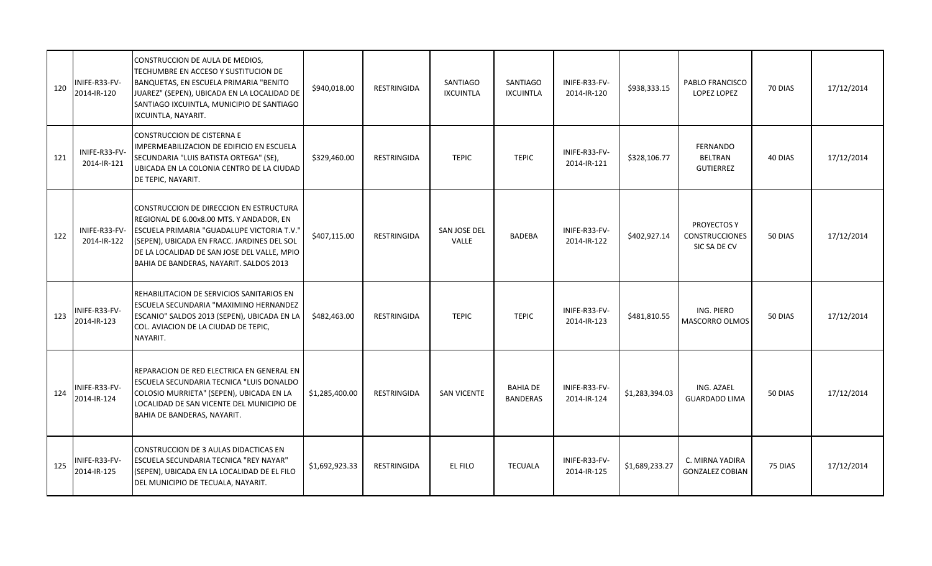| 120 | INIFE-R33-FV-<br>2014-IR-120 | CONSTRUCCION DE AULA DE MEDIOS,<br>TECHUMBRE EN ACCESO Y SUSTITUCION DE<br>BANQUETAS, EN ESCUELA PRIMARIA "BENITO<br>JUAREZ" (SEPEN), UBICADA EN LA LOCALIDAD DE<br>SANTIAGO IXCUINTLA, MUNICIPIO DE SANTIAGO<br>IXCUINTLA, NAYARIT.                                       | \$940,018.00   | <b>RESTRINGIDA</b> | <b>SANTIAGO</b><br><b>IXCUINTLA</b> | <b>SANTIAGO</b><br><b>IXCUINTLA</b> | INIFE-R33-FV-<br>2014-IR-120 | \$938,333.15   | PABLO FRANCISCO<br><b>LOPEZ LOPEZ</b>                       | 70 DIAS | 17/12/2014 |
|-----|------------------------------|----------------------------------------------------------------------------------------------------------------------------------------------------------------------------------------------------------------------------------------------------------------------------|----------------|--------------------|-------------------------------------|-------------------------------------|------------------------------|----------------|-------------------------------------------------------------|---------|------------|
| 121 | INIFE-R33-FV-<br>2014-IR-121 | CONSTRUCCION DE CISTERNA E<br>IMPERMEABILIZACION DE EDIFICIO EN ESCUELA<br>SECUNDARIA "LUIS BATISTA ORTEGA" (SE),<br>UBICADA EN LA COLONIA CENTRO DE LA CIUDAD<br>DE TEPIC, NAYARIT.                                                                                       | \$329,460.00   | <b>RESTRINGIDA</b> | <b>TEPIC</b>                        | <b>TEPIC</b>                        | INIFE-R33-FV-<br>2014-IR-121 | \$328,106.77   | <b>FERNANDO</b><br><b>BELTRAN</b><br><b>GUTIERREZ</b>       | 40 DIAS | 17/12/2014 |
| 122 | INIFE-R33-FV-<br>2014-IR-122 | CONSTRUCCION DE DIRECCION EN ESTRUCTURA<br>REGIONAL DE 6.00x8.00 MTS. Y ANDADOR, EN<br>ESCUELA PRIMARIA "GUADALUPE VICTORIA T.V."<br>(SEPEN), UBICADA EN FRACC. JARDINES DEL SOL<br>DE LA LOCALIDAD DE SAN JOSE DEL VALLE, MPIO<br>BAHIA DE BANDERAS, NAYARIT. SALDOS 2013 | \$407,115.00   | RESTRINGIDA        | SAN JOSE DEL<br>VALLE               | BADEBA                              | INIFE-R33-FV-<br>2014-IR-122 | \$402,927.14   | <b>PROYECTOS Y</b><br><b>CONSTRUCCIONES</b><br>SIC SA DE CV | 50 DIAS | 17/12/2014 |
| 123 | INIFE-R33-FV-<br>2014-IR-123 | REHABILITACION DE SERVICIOS SANITARIOS EN<br>ESCUELA SECUNDARIA "MAXIMINO HERNANDEZ<br>ESCANIO" SALDOS 2013 (SEPEN), UBICADA EN LA<br>COL. AVIACION DE LA CIUDAD DE TEPIC,<br>NAYARIT.                                                                                     | \$482,463.00   | RESTRINGIDA        | <b>TEPIC</b>                        | <b>TEPIC</b>                        | INIFE-R33-FV-<br>2014-IR-123 | \$481,810.55   | ING. PIERO<br><b>MASCORRO OLMOS</b>                         | 50 DIAS | 17/12/2014 |
| 124 | INIFE-R33-FV-<br>2014-IR-124 | REPARACION DE RED ELECTRICA EN GENERAL EN<br>ESCUELA SECUNDARIA TECNICA "LUIS DONALDO<br>COLOSIO MURRIETA" (SEPEN), UBICADA EN LA<br>LOCALIDAD DE SAN VICENTE DEL MUNICIPIO DE<br>BAHIA DE BANDERAS, NAYARIT.                                                              | \$1,285,400.00 | RESTRINGIDA        | <b>SAN VICENTE</b>                  | <b>BAHIA DE</b><br><b>BANDERAS</b>  | INIFE-R33-FV-<br>2014-IR-124 | \$1,283,394.03 | ING. AZAEL<br><b>GUARDADO LIMA</b>                          | 50 DIAS | 17/12/2014 |
| 125 | INIFE-R33-FV-<br>2014-IR-125 | CONSTRUCCION DE 3 AULAS DIDACTICAS EN<br><b>ESCUELA SECUNDARIA TECNICA "REY NAYAR"</b><br>(SEPEN), UBICADA EN LA LOCALIDAD DE EL FILO<br>DEL MUNICIPIO DE TECUALA, NAYARIT.                                                                                                | \$1,692,923.33 | <b>RESTRINGIDA</b> | EL FILO                             | <b>TECUALA</b>                      | INIFE-R33-FV-<br>2014-IR-125 | \$1,689,233.27 | C. MIRNA YADIRA<br><b>GONZALEZ COBIAN</b>                   | 75 DIAS | 17/12/2014 |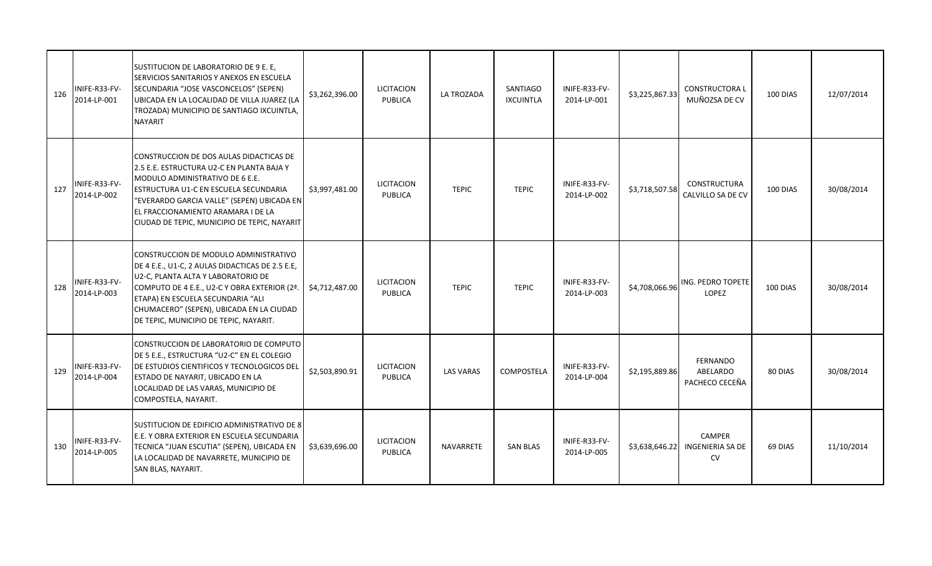| 126 | INIFE-R33-FV-<br>2014-LP-001 | SUSTITUCION DE LABORATORIO DE 9 E. E,<br>SERVICIOS SANITARIOS Y ANEXOS EN ESCUELA<br>SECUNDARIA "JOSE VASCONCELOS" (SEPEN)<br>UBICADA EN LA LOCALIDAD DE VILLA JUAREZ (LA<br>TROZADA) MUNICIPIO DE SANTIAGO IXCUINTLA,<br><b>NAYARIT</b>                                                                  | \$3,262,396.00 | <b>LICITACION</b><br>PUBLICA        | LA TROZADA       | SANTIAGO<br><b>IXCUINTLA</b> | INIFE-R33-FV-<br>2014-LP-001 | \$3,225,867.33 | <b>CONSTRUCTORAL</b><br>MUÑOZSA DE CV    | 100 DIAS | 12/07/2014 |
|-----|------------------------------|-----------------------------------------------------------------------------------------------------------------------------------------------------------------------------------------------------------------------------------------------------------------------------------------------------------|----------------|-------------------------------------|------------------|------------------------------|------------------------------|----------------|------------------------------------------|----------|------------|
| 127 | INIFE-R33-FV-<br>2014-LP-002 | CONSTRUCCION DE DOS AULAS DIDACTICAS DE<br>2.5 E.E. ESTRUCTURA U2-C EN PLANTA BAJA Y<br>MODULO ADMINISTRATIVO DE 6 E.E.<br>ESTRUCTURA U1-C EN ESCUELA SECUNDARIA<br>"EVERARDO GARCIA VALLE" (SEPEN) UBICADA EN<br>EL FRACCIONAMIENTO ARAMARA I DE LA<br>CIUDAD DE TEPIC, MUNICIPIO DE TEPIC, NAYARIT      | \$3,997,481.00 | <b>LICITACION</b><br><b>PUBLICA</b> | <b>TEPIC</b>     | <b>TEPIC</b>                 | INIFE-R33-FV-<br>2014-LP-002 | \$3,718,507.58 | <b>CONSTRUCTURA</b><br>CALVILLO SA DE CV | 100 DIAS | 30/08/2014 |
| 128 | INIFE-R33-FV-<br>2014-LP-003 | CONSTRUCCION DE MODULO ADMINISTRATIVO<br>DE 4 E.E., U1-C, 2 AULAS DIDACTICAS DE 2.5 E.E,<br>U2-C, PLANTA ALTA Y LABORATORIO DE<br>COMPUTO DE 4 E.E., U2-C Y OBRA EXTERIOR (2ª.<br>ETAPA) EN ESCUELA SECUNDARIA "ALI<br>CHUMACERO" (SEPEN), UBICADA EN LA CIUDAD<br>DE TEPIC, MUNICIPIO DE TEPIC, NAYARIT. | \$4,712,487.00 | LICITACION<br>PUBLICA               | <b>TEPIC</b>     | <b>TEPIC</b>                 | INIFE-R33-FV-<br>2014-LP-003 | \$4,708,066.96 | ING. PEDRO TOPETE<br><b>LOPEZ</b>        | 100 DIAS | 30/08/2014 |
| 129 | INIFE-R33-FV-<br>2014-LP-004 | CONSTRUCCION DE LABORATORIO DE COMPUTO<br>DE 5 E.E., ESTRUCTURA "U2-C" EN EL COLEGIO<br>DE ESTUDIOS CIENTIFICOS Y TECNOLOGICOS DEL<br>ESTADO DE NAYARIT, UBICADO EN LA<br>LOCALIDAD DE LAS VARAS, MUNICIPIO DE<br>COMPOSTELA, NAYARIT.                                                                    | \$2,503,890.91 | <b>LICITACION</b><br><b>PUBLICA</b> | <b>LAS VARAS</b> | <b>COMPOSTELA</b>            | INIFE-R33-FV-<br>2014-LP-004 | \$2,195,889.86 | FERNANDO<br>ABELARDO<br>PACHECO CECEÑA   | 80 DIAS  | 30/08/2014 |
| 130 | INIFE-R33-FV-<br>2014-LP-005 | SUSTITUCION DE EDIFICIO ADMINISTRATIVO DE 8<br>E.E. Y OBRA EXTERIOR EN ESCUELA SECUNDARIA<br>TECNICA "JUAN ESCUTIA" (SEPEN), UBICADA EN<br>LA LOCALIDAD DE NAVARRETE, MUNICIPIO DE<br>SAN BLAS, NAYARIT.                                                                                                  | \$3,639,696.00 | <b>LICITACION</b><br><b>PUBLICA</b> | NAVARRETE        | <b>SAN BLAS</b>              | INIFE-R33-FV-<br>2014-LP-005 | \$3,638,646.22 | <b>CAMPER</b><br>INGENIERIA SA DE<br>CV  | 69 DIAS  | 11/10/2014 |